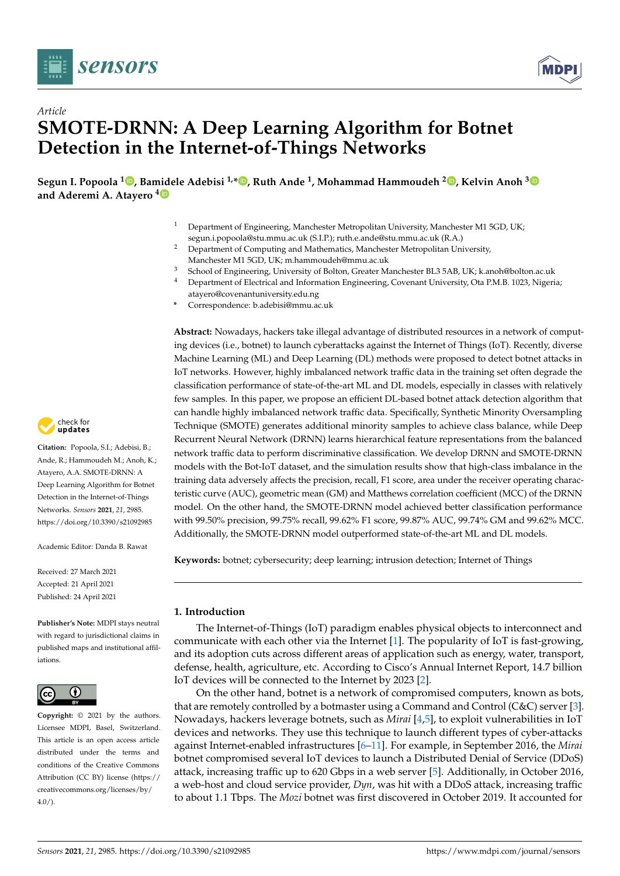



# *Article* **SMOTE-DRNN: A Deep Learning Algorithm for Botnet Detection in the Internet-of-Things Networks**

**Segun I. Popoola <sup>1</sup> [,](https://orcid.org/0000-0002-3941-5903) Bamidele Adebisi 1,\* [,](https://orcid.org/0000-0001-9071-9120) Ruth Ande <sup>1</sup> , Mohammad Hammoudeh <sup>2</sup> [,](https://orcid.org/0000-0003-1058-0996) Kelvin Anoh [3](https://orcid.org/0000-0002-2538-6945) and Aderemi A. Atayero [4](https://orcid.org/0000-0002-4427-2679)**

- <sup>1</sup> Department of Engineering, Manchester Metropolitan University, Manchester M1 5GD, UK; segun.i.popoola@stu.mmu.ac.uk (S.I.P.); ruth.e.ande@stu.mmu.ac.uk (R.A.)
- <sup>2</sup> Department of Computing and Mathematics, Manchester Metropolitan University, Manchester M1 5GD, UK; m.hammoudeh@mmu.ac.uk
- <sup>3</sup> School of Engineering, University of Bolton, Greater Manchester BL3 5AB, UK; k.anoh@bolton.ac.uk
- <sup>4</sup> Department of Electrical and Information Engineering, Covenant University, Ota P.M.B. 1023, Nigeria;
- atayero@covenantuniversity.edu.ng
- **\*** Correspondence: b.adebisi@mmu.ac.uk

**Abstract:** Nowadays, hackers take illegal advantage of distributed resources in a network of computing devices (i.e., botnet) to launch cyberattacks against the Internet of Things (IoT). Recently, diverse Machine Learning (ML) and Deep Learning (DL) methods were proposed to detect botnet attacks in IoT networks. However, highly imbalanced network traffic data in the training set often degrade the classification performance of state-of-the-art ML and DL models, especially in classes with relatively few samples. In this paper, we propose an efficient DL-based botnet attack detection algorithm that can handle highly imbalanced network traffic data. Specifically, Synthetic Minority Oversampling Technique (SMOTE) generates additional minority samples to achieve class balance, while Deep Recurrent Neural Network (DRNN) learns hierarchical feature representations from the balanced network traffic data to perform discriminative classification. We develop DRNN and SMOTE-DRNN models with the Bot-IoT dataset, and the simulation results show that high-class imbalance in the training data adversely affects the precision, recall, F1 score, area under the receiver operating characteristic curve (AUC), geometric mean (GM) and Matthews correlation coefficient (MCC) of the DRNN model. On the other hand, the SMOTE-DRNN model achieved better classification performance with 99.50% precision, 99.75% recall, 99.62% F1 score, 99.87% AUC, 99.74% GM and 99.62% MCC. Additionally, the SMOTE-DRNN model outperformed state-of-the-art ML and DL models.

**Keywords:** botnet; cybersecurity; deep learning; intrusion detection; Internet of Things

## **1. Introduction**

The Internet-of-Things (IoT) paradigm enables physical objects to interconnect and communicate with each other via the Internet [\[1\]](#page-16-0). The popularity of IoT is fast-growing, and its adoption cuts across different areas of application such as energy, water, transport, defense, health, agriculture, etc. According to Cisco's Annual Internet Report, 14.7 billion IoT devices will be connected to the Internet by 2023 [\[2\]](#page-16-1).

On the other hand, botnet is a network of compromised computers, known as bots, that are remotely controlled by a botmaster using a Command and Control (C&C) server [\[3\]](#page-17-0). Nowadays, hackers leverage botnets, such as *Mirai* [\[4,](#page-17-1)[5\]](#page-17-2), to exploit vulnerabilities in IoT devices and networks. They use this technique to launch different types of cyber-attacks against Internet-enabled infrastructures [\[6–](#page-17-3)[11\]](#page-17-4). For example, in September 2016, the *Mirai* botnet compromised several IoT devices to launch a Distributed Denial of Service (DDoS) attack, increasing traffic up to 620 Gbps in a web server [\[5\]](#page-17-2). Additionally, in October 2016, a web-host and cloud service provider, *Dyn*, was hit with a DDoS attack, increasing traffic to about 1.1 Tbps. The *Mozi* botnet was first discovered in October 2019. It accounted for



**Citation:** Popoola, S.I.; Adebisi, B.; Ande, R.; Hammoudeh M.; Anoh, K.; Atayero, A.A. SMOTE-DRNN: A Deep Learning Algorithm for Botnet Detection in the Internet-of-Things Networks. *Sensors* **2021**, *21*, 2985. <https://doi.org/10.3390/s21092985>

Academic Editor: Danda B. Rawat

Received: 27 March 2021 Accepted: 21 April 2021 Published: 24 April 2021

**Publisher's Note:** MDPI stays neutral with regard to jurisdictional claims in published maps and institutional affiliations.



**Copyright:** © 2021 by the authors. Licensee MDPI, Basel, Switzerland. This article is an open access article distributed under the terms and conditions of the Creative Commons Attribution (CC BY) license (https:/[/](https://creativecommons.org/licenses/by/4.0/) [creativecommons.org/licenses/by/](https://creativecommons.org/licenses/by/4.0/)  $4.0/$ ).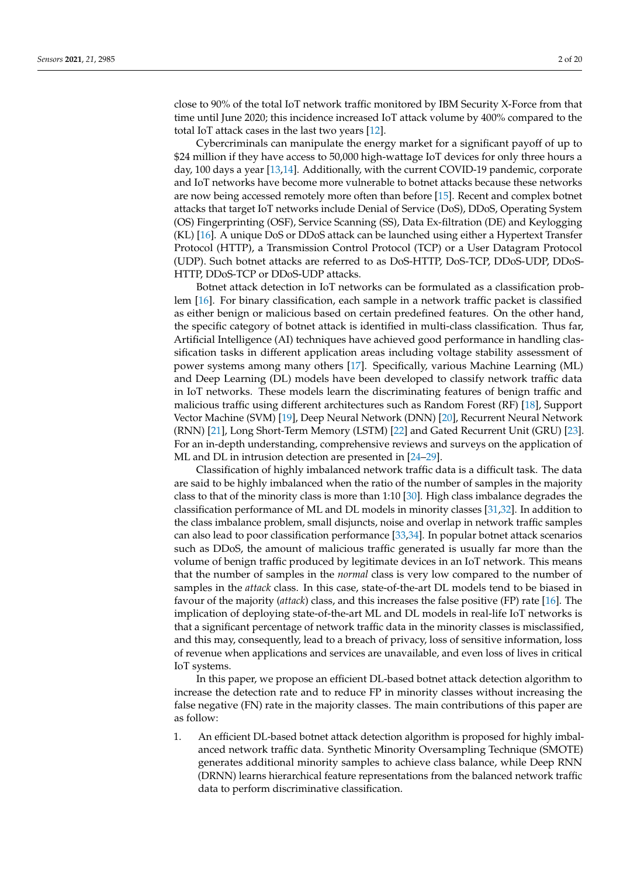close to 90% of the total IoT network traffic monitored by IBM Security X-Force from that time until June 2020; this incidence increased IoT attack volume by 400% compared to the total IoT attack cases in the last two years [\[12\]](#page-17-5).

Cybercriminals can manipulate the energy market for a significant payoff of up to \$24 million if they have access to 50,000 high-wattage IoT devices for only three hours a day, 100 days a year [\[13](#page-17-6)[,14\]](#page-17-7). Additionally, with the current COVID-19 pandemic, corporate and IoT networks have become more vulnerable to botnet attacks because these networks are now being accessed remotely more often than before [\[15\]](#page-17-8). Recent and complex botnet attacks that target IoT networks include Denial of Service (DoS), DDoS, Operating System (OS) Fingerprinting (OSF), Service Scanning (SS), Data Ex-filtration (DE) and Keylogging (KL) [\[16\]](#page-17-9). A unique DoS or DDoS attack can be launched using either a Hypertext Transfer Protocol (HTTP), a Transmission Control Protocol (TCP) or a User Datagram Protocol (UDP). Such botnet attacks are referred to as DoS-HTTP, DoS-TCP, DDoS-UDP, DDoS-HTTP, DDoS-TCP or DDoS-UDP attacks.

Botnet attack detection in IoT networks can be formulated as a classification problem [\[16\]](#page-17-9). For binary classification, each sample in a network traffic packet is classified as either benign or malicious based on certain predefined features. On the other hand, the specific category of botnet attack is identified in multi-class classification. Thus far, Artificial Intelligence (AI) techniques have achieved good performance in handling classification tasks in different application areas including voltage stability assessment of power systems among many others [\[17\]](#page-17-10). Specifically, various Machine Learning (ML) and Deep Learning (DL) models have been developed to classify network traffic data in IoT networks. These models learn the discriminating features of benign traffic and malicious traffic using different architectures such as Random Forest (RF) [\[18\]](#page-17-11), Support Vector Machine (SVM) [\[19\]](#page-17-12), Deep Neural Network (DNN) [\[20\]](#page-17-13), Recurrent Neural Network (RNN) [\[21\]](#page-17-14), Long Short-Term Memory (LSTM) [\[22\]](#page-17-15) and Gated Recurrent Unit (GRU) [\[23\]](#page-17-16). For an in-depth understanding, comprehensive reviews and surveys on the application of ML and DL in intrusion detection are presented in [\[24](#page-17-17)[–29\]](#page-17-18).

Classification of highly imbalanced network traffic data is a difficult task. The data are said to be highly imbalanced when the ratio of the number of samples in the majority class to that of the minority class is more than 1:10 [\[30\]](#page-17-19). High class imbalance degrades the classification performance of ML and DL models in minority classes [\[31,](#page-17-20)[32\]](#page-17-21). In addition to the class imbalance problem, small disjuncts, noise and overlap in network traffic samples can also lead to poor classification performance [\[33](#page-18-0)[,34\]](#page-18-1). In popular botnet attack scenarios such as DDoS, the amount of malicious traffic generated is usually far more than the volume of benign traffic produced by legitimate devices in an IoT network. This means that the number of samples in the *normal* class is very low compared to the number of samples in the *attack* class. In this case, state-of-the-art DL models tend to be biased in favour of the majority (*attack*) class, and this increases the false positive (FP) rate [\[16\]](#page-17-9). The implication of deploying state-of-the-art ML and DL models in real-life IoT networks is that a significant percentage of network traffic data in the minority classes is misclassified, and this may, consequently, lead to a breach of privacy, loss of sensitive information, loss of revenue when applications and services are unavailable, and even loss of lives in critical IoT systems.

In this paper, we propose an efficient DL-based botnet attack detection algorithm to increase the detection rate and to reduce FP in minority classes without increasing the false negative (FN) rate in the majority classes. The main contributions of this paper are as follow:

1. An efficient DL-based botnet attack detection algorithm is proposed for highly imbalanced network traffic data. Synthetic Minority Oversampling Technique (SMOTE) generates additional minority samples to achieve class balance, while Deep RNN (DRNN) learns hierarchical feature representations from the balanced network traffic data to perform discriminative classification.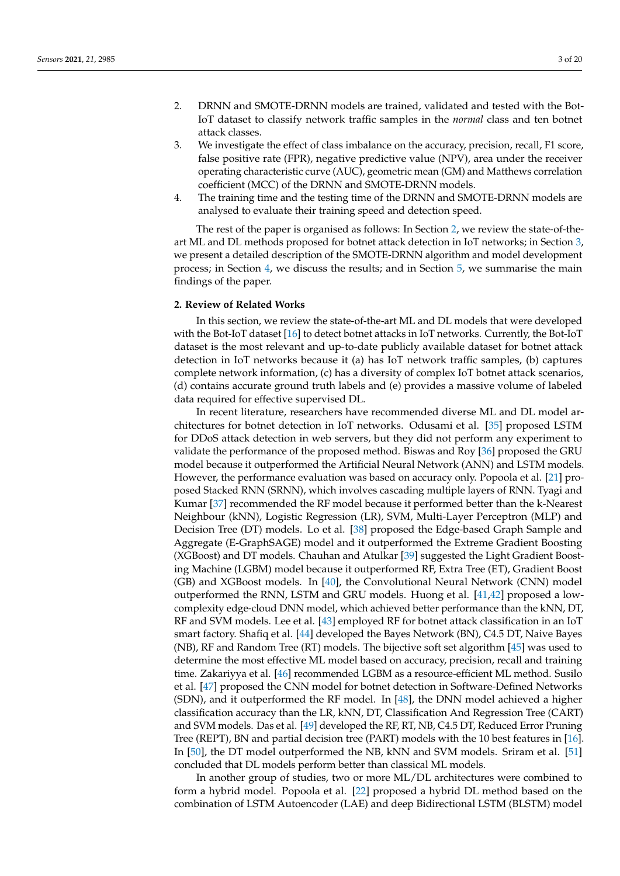- 2. DRNN and SMOTE-DRNN models are trained, validated and tested with the Bot-IoT dataset to classify network traffic samples in the *normal* class and ten botnet attack classes.
- 3. We investigate the effect of class imbalance on the accuracy, precision, recall, F1 score, false positive rate (FPR), negative predictive value (NPV), area under the receiver operating characteristic curve (AUC), geometric mean (GM) and Matthews correlation coefficient (MCC) of the DRNN and SMOTE-DRNN models.
- 4. The training time and the testing time of the DRNN and SMOTE-DRNN models are analysed to evaluate their training speed and detection speed.

The rest of the paper is organised as follows: In Section [2,](#page-2-0) we review the state-of-theart ML and DL methods proposed for botnet attack detection in IoT networks; in Section [3,](#page-5-0) we present a detailed description of the SMOTE-DRNN algorithm and model development process; in Section [4,](#page-9-0) we discuss the results; and in Section [5,](#page-15-0) we summarise the main findings of the paper.

## <span id="page-2-0"></span>**2. Review of Related Works**

In this section, we review the state-of-the-art ML and DL models that were developed with the Bot-IoT dataset [\[16\]](#page-17-9) to detect botnet attacks in IoT networks. Currently, the Bot-IoT dataset is the most relevant and up-to-date publicly available dataset for botnet attack detection in IoT networks because it (a) has IoT network traffic samples, (b) captures complete network information, (c) has a diversity of complex IoT botnet attack scenarios, (d) contains accurate ground truth labels and (e) provides a massive volume of labeled data required for effective supervised DL.

In recent literature, researchers have recommended diverse ML and DL model architectures for botnet detection in IoT networks. Odusami et al. [\[35\]](#page-18-2) proposed LSTM for DDoS attack detection in web servers, but they did not perform any experiment to validate the performance of the proposed method. Biswas and Roy [\[36\]](#page-18-3) proposed the GRU model because it outperformed the Artificial Neural Network (ANN) and LSTM models. However, the performance evaluation was based on accuracy only. Popoola et al. [\[21\]](#page-17-14) proposed Stacked RNN (SRNN), which involves cascading multiple layers of RNN. Tyagi and Kumar [\[37\]](#page-18-4) recommended the RF model because it performed better than the k-Nearest Neighbour (kNN), Logistic Regression (LR), SVM, Multi-Layer Perceptron (MLP) and Decision Tree (DT) models. Lo et al. [\[38\]](#page-18-5) proposed the Edge-based Graph Sample and Aggregate (E-GraphSAGE) model and it outperformed the Extreme Gradient Boosting (XGBoost) and DT models. Chauhan and Atulkar [\[39\]](#page-18-6) suggested the Light Gradient Boosting Machine (LGBM) model because it outperformed RF, Extra Tree (ET), Gradient Boost (GB) and XGBoost models. In [\[40\]](#page-18-7), the Convolutional Neural Network (CNN) model outperformed the RNN, LSTM and GRU models. Huong et al. [\[41](#page-18-8)[,42\]](#page-18-9) proposed a lowcomplexity edge-cloud DNN model, which achieved better performance than the kNN, DT, RF and SVM models. Lee et al. [\[43\]](#page-18-10) employed RF for botnet attack classification in an IoT smart factory. Shafiq et al. [\[44\]](#page-18-11) developed the Bayes Network (BN), C4.5 DT, Naive Bayes (NB), RF and Random Tree (RT) models. The bijective soft set algorithm [\[45\]](#page-18-12) was used to determine the most effective ML model based on accuracy, precision, recall and training time. Zakariyya et al. [\[46\]](#page-18-13) recommended LGBM as a resource-efficient ML method. Susilo et al. [\[47\]](#page-18-14) proposed the CNN model for botnet detection in Software-Defined Networks (SDN), and it outperformed the RF model. In [\[48\]](#page-18-15), the DNN model achieved a higher classification accuracy than the LR, kNN, DT, Classification And Regression Tree (CART) and SVM models. Das et al. [\[49\]](#page-18-16) developed the RF, RT, NB, C4.5 DT, Reduced Error Pruning Tree (REPT), BN and partial decision tree (PART) models with the 10 best features in [\[16\]](#page-17-9). In [\[50\]](#page-18-17), the DT model outperformed the NB, kNN and SVM models. Sriram et al. [\[51\]](#page-18-18) concluded that DL models perform better than classical ML models.

In another group of studies, two or more ML/DL architectures were combined to form a hybrid model. Popoola et al. [\[22\]](#page-17-15) proposed a hybrid DL method based on the combination of LSTM Autoencoder (LAE) and deep Bidirectional LSTM (BLSTM) model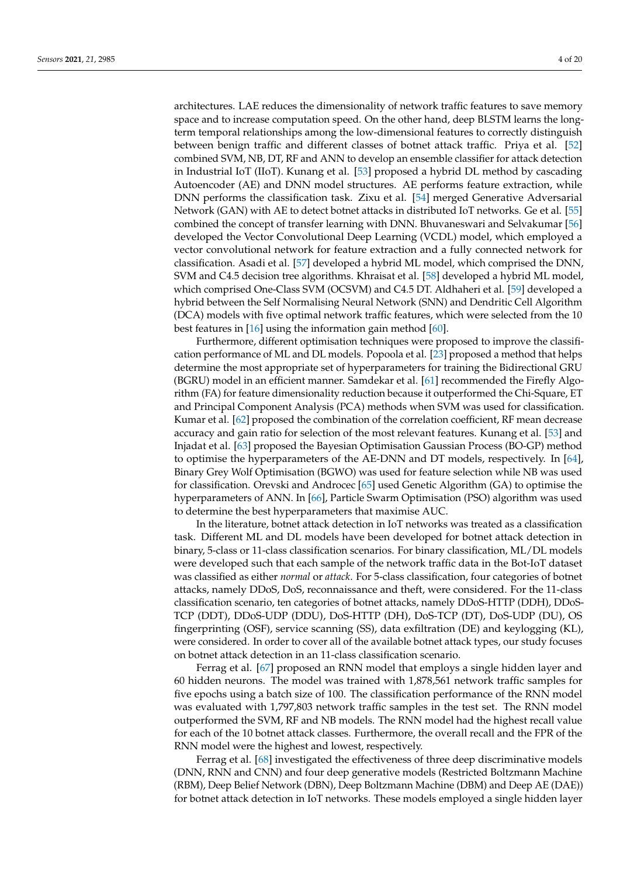architectures. LAE reduces the dimensionality of network traffic features to save memory space and to increase computation speed. On the other hand, deep BLSTM learns the longterm temporal relationships among the low-dimensional features to correctly distinguish between benign traffic and different classes of botnet attack traffic. Priya et al. [\[52\]](#page-18-19) combined SVM, NB, DT, RF and ANN to develop an ensemble classifier for attack detection in Industrial IoT (IIoT). Kunang et al. [\[53\]](#page-18-20) proposed a hybrid DL method by cascading Autoencoder (AE) and DNN model structures. AE performs feature extraction, while DNN performs the classification task. Zixu et al. [\[54\]](#page-18-21) merged Generative Adversarial Network (GAN) with AE to detect botnet attacks in distributed IoT networks. Ge et al. [\[55\]](#page-18-22) combined the concept of transfer learning with DNN. Bhuvaneswari and Selvakumar [\[56\]](#page-18-23) developed the Vector Convolutional Deep Learning (VCDL) model, which employed a vector convolutional network for feature extraction and a fully connected network for classification. Asadi et al. [\[57\]](#page-18-24) developed a hybrid ML model, which comprised the DNN, SVM and C4.5 decision tree algorithms. Khraisat et al. [\[58\]](#page-18-25) developed a hybrid ML model, which comprised One-Class SVM (OCSVM) and C4.5 DT. Aldhaheri et al. [\[59\]](#page-19-0) developed a hybrid between the Self Normalising Neural Network (SNN) and Dendritic Cell Algorithm (DCA) models with five optimal network traffic features, which were selected from the 10 best features in [\[16\]](#page-17-9) using the information gain method [\[60\]](#page-19-1).

Furthermore, different optimisation techniques were proposed to improve the classification performance of ML and DL models. Popoola et al. [\[23\]](#page-17-16) proposed a method that helps determine the most appropriate set of hyperparameters for training the Bidirectional GRU (BGRU) model in an efficient manner. Samdekar et al. [\[61\]](#page-19-2) recommended the Firefly Algorithm (FA) for feature dimensionality reduction because it outperformed the Chi-Square, ET and Principal Component Analysis (PCA) methods when SVM was used for classification. Kumar et al. [\[62\]](#page-19-3) proposed the combination of the correlation coefficient, RF mean decrease accuracy and gain ratio for selection of the most relevant features. Kunang et al. [\[53\]](#page-18-20) and Injadat et al. [\[63\]](#page-19-4) proposed the Bayesian Optimisation Gaussian Process (BO-GP) method to optimise the hyperparameters of the AE-DNN and DT models, respectively. In [\[64\]](#page-19-5), Binary Grey Wolf Optimisation (BGWO) was used for feature selection while NB was used for classification. Orevski and Androcec [\[65\]](#page-19-6) used Genetic Algorithm (GA) to optimise the hyperparameters of ANN. In [\[66\]](#page-19-7), Particle Swarm Optimisation (PSO) algorithm was used to determine the best hyperparameters that maximise AUC.

In the literature, botnet attack detection in IoT networks was treated as a classification task. Different ML and DL models have been developed for botnet attack detection in binary, 5-class or 11-class classification scenarios. For binary classification, ML/DL models were developed such that each sample of the network traffic data in the Bot-IoT dataset was classified as either *normal* or *attack*. For 5-class classification, four categories of botnet attacks, namely DDoS, DoS, reconnaissance and theft, were considered. For the 11-class classification scenario, ten categories of botnet attacks, namely DDoS-HTTP (DDH), DDoS-TCP (DDT), DDoS-UDP (DDU), DoS-HTTP (DH), DoS-TCP (DT), DoS-UDP (DU), OS fingerprinting (OSF), service scanning (SS), data exfiltration (DE) and keylogging (KL), were considered. In order to cover all of the available botnet attack types, our study focuses on botnet attack detection in an 11-class classification scenario.

Ferrag et al. [\[67\]](#page-19-8) proposed an RNN model that employs a single hidden layer and 60 hidden neurons. The model was trained with 1,878,561 network traffic samples for five epochs using a batch size of 100. The classification performance of the RNN model was evaluated with 1,797,803 network traffic samples in the test set. The RNN model outperformed the SVM, RF and NB models. The RNN model had the highest recall value for each of the 10 botnet attack classes. Furthermore, the overall recall and the FPR of the RNN model were the highest and lowest, respectively.

Ferrag et al. [\[68\]](#page-19-9) investigated the effectiveness of three deep discriminative models (DNN, RNN and CNN) and four deep generative models (Restricted Boltzmann Machine (RBM), Deep Belief Network (DBN), Deep Boltzmann Machine (DBM) and Deep AE (DAE)) for botnet attack detection in IoT networks. These models employed a single hidden layer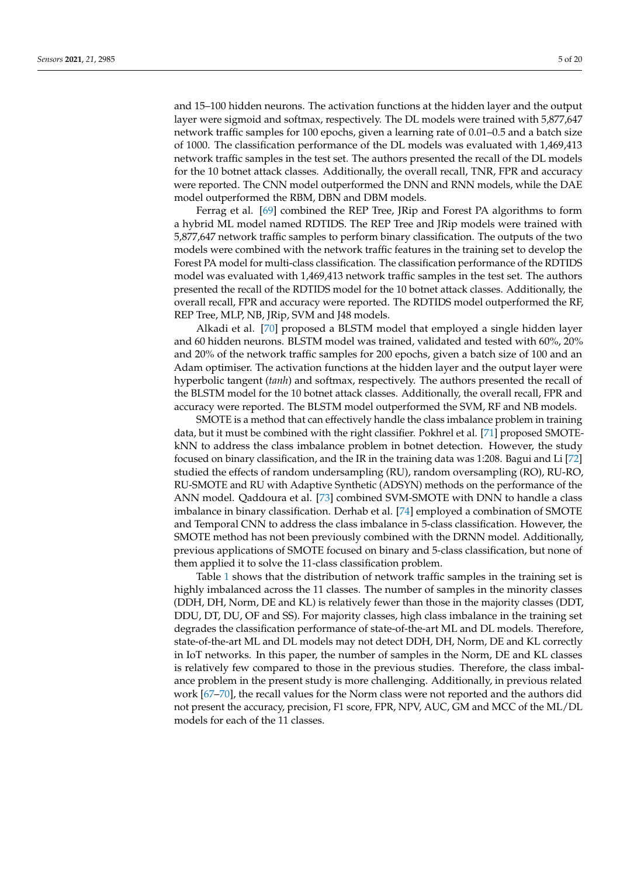and 15–100 hidden neurons. The activation functions at the hidden layer and the output layer were sigmoid and softmax, respectively. The DL models were trained with 5,877,647 network traffic samples for 100 epochs, given a learning rate of 0.01–0.5 and a batch size of 1000. The classification performance of the DL models was evaluated with 1,469,413 network traffic samples in the test set. The authors presented the recall of the DL models for the 10 botnet attack classes. Additionally, the overall recall, TNR, FPR and accuracy were reported. The CNN model outperformed the DNN and RNN models, while the DAE model outperformed the RBM, DBN and DBM models.

Ferrag et al. [\[69\]](#page-19-10) combined the REP Tree, JRip and Forest PA algorithms to form a hybrid ML model named RDTIDS. The REP Tree and JRip models were trained with 5,877,647 network traffic samples to perform binary classification. The outputs of the two models were combined with the network traffic features in the training set to develop the Forest PA model for multi-class classification. The classification performance of the RDTIDS model was evaluated with 1,469,413 network traffic samples in the test set. The authors presented the recall of the RDTIDS model for the 10 botnet attack classes. Additionally, the overall recall, FPR and accuracy were reported. The RDTIDS model outperformed the RF, REP Tree, MLP, NB, JRip, SVM and J48 models.

Alkadi et al. [\[70\]](#page-19-11) proposed a BLSTM model that employed a single hidden layer and 60 hidden neurons. BLSTM model was trained, validated and tested with 60%, 20% and 20% of the network traffic samples for 200 epochs, given a batch size of 100 and an Adam optimiser. The activation functions at the hidden layer and the output layer were hyperbolic tangent (*tanh*) and softmax, respectively. The authors presented the recall of the BLSTM model for the 10 botnet attack classes. Additionally, the overall recall, FPR and accuracy were reported. The BLSTM model outperformed the SVM, RF and NB models.

SMOTE is a method that can effectively handle the class imbalance problem in training data, but it must be combined with the right classifier. Pokhrel et al. [\[71\]](#page-19-12) proposed SMOTEkNN to address the class imbalance problem in botnet detection. However, the study focused on binary classification, and the IR in the training data was 1:208. Bagui and Li [\[72\]](#page-19-13) studied the effects of random undersampling (RU), random oversampling (RO), RU-RO, RU-SMOTE and RU with Adaptive Synthetic (ADSYN) methods on the performance of the ANN model. Qaddoura et al. [\[73\]](#page-19-14) combined SVM-SMOTE with DNN to handle a class imbalance in binary classification. Derhab et al. [\[74\]](#page-19-15) employed a combination of SMOTE and Temporal CNN to address the class imbalance in 5-class classification. However, the SMOTE method has not been previously combined with the DRNN model. Additionally, previous applications of SMOTE focused on binary and 5-class classification, but none of them applied it to solve the 11-class classification problem.

Table [1](#page-5-1) shows that the distribution of network traffic samples in the training set is highly imbalanced across the 11 classes. The number of samples in the minority classes (DDH, DH, Norm, DE and KL) is relatively fewer than those in the majority classes (DDT, DDU, DT, DU, OF and SS). For majority classes, high class imbalance in the training set degrades the classification performance of state-of-the-art ML and DL models. Therefore, state-of-the-art ML and DL models may not detect DDH, DH, Norm, DE and KL correctly in IoT networks. In this paper, the number of samples in the Norm, DE and KL classes is relatively few compared to those in the previous studies. Therefore, the class imbalance problem in the present study is more challenging. Additionally, in previous related work [\[67–](#page-19-8)[70\]](#page-19-11), the recall values for the Norm class were not reported and the authors did not present the accuracy, precision, F1 score, FPR, NPV, AUC, GM and MCC of the ML/DL models for each of the 11 classes.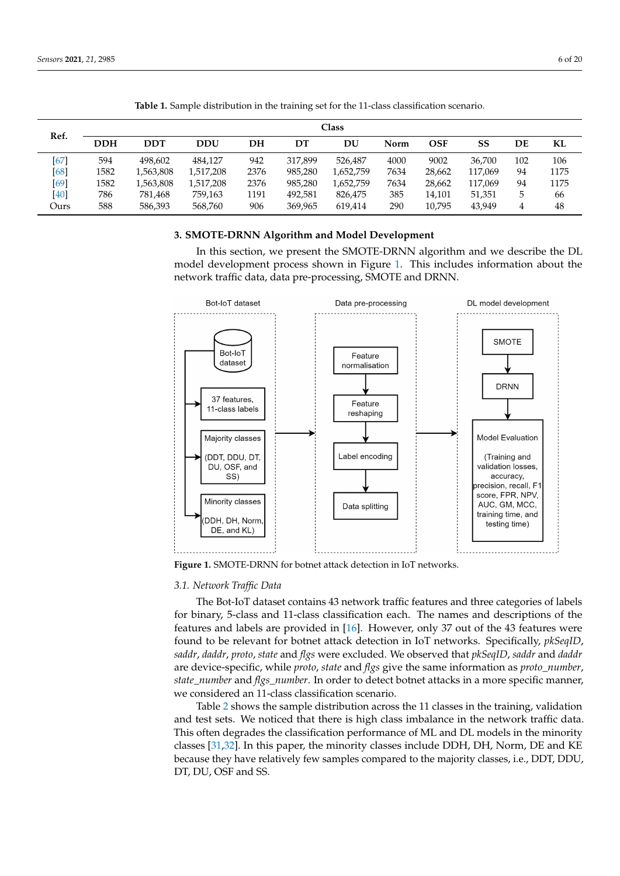<span id="page-5-1"></span>

|      |            | <b>Class</b> |            |      |         |           |      |            |         |     |      |  |  |  |
|------|------------|--------------|------------|------|---------|-----------|------|------------|---------|-----|------|--|--|--|
| Ref. | <b>DDH</b> | <b>DDT</b>   | <b>DDU</b> | DН   | DТ      | DU        | Norm | <b>OSF</b> | SS      | DE  | KL   |  |  |  |
| [67] | 594        | 498.602      | 484.127    | 942  | 317.899 | 526.487   | 4000 | 9002       | 36.700  | 102 | 106  |  |  |  |
| [68] | 1582       | 1,563,808    | 1.517.208  | 2376 | 985.280 | 1,652,759 | 7634 | 28.662     | 117.069 | 94  | 1175 |  |  |  |
| [69] | 1582       | 1,563,808    | 1,517,208  | 2376 | 985.280 | 1,652,759 | 7634 | 28.662     | 117.069 | 94  | 1175 |  |  |  |
| [40] | 786        | 781.468      | 759,163    | 1191 | 492.581 | 826,475   | 385  | 14,101     | 51,351  | 5   | 66   |  |  |  |
| Ours | 588        | 586,393      | 568,760    | 906  | 369,965 | 619.414   | 290  | 10,795     | 43,949  | 4   | 48   |  |  |  |

**Table 1.** Sample distribution in the training set for the 11-class classification scenario.

## <span id="page-5-0"></span>**3. SMOTE-DRNN Algorithm and Model Development**

In this section, we present the SMOTE-DRNN algorithm and we describe the DL model development process shown in Figure [1.](#page-5-2) This includes information about the network traffic data, data pre-processing, SMOTE and DRNN.

<span id="page-5-2"></span>

**Figure 1.** SMOTE-DRNN for botnet attack detection in IoT networks.

## *3.1. Network Traffic Data*

The Bot-IoT dataset contains 43 network traffic features and three categories of labels for binary, 5-class and 11-class classification each. The names and descriptions of the features and labels are provided in [\[16\]](#page-17-9). However, only 37 out of the 43 features were found to be relevant for botnet attack detection in IoT networks. Specifically, *pkSeqID*, *saddr*, *daddr*, *proto*, *state* and *flgs* were excluded. We observed that *pkSeqID*, *saddr* and *daddr* are device-specific, while *proto*, *state* and *flgs* give the same information as *proto\_number*, *state\_number* and *flgs\_number*. In order to detect botnet attacks in a more specific manner, we considered an 11-class classification scenario.

Table [2](#page-6-0) shows the sample distribution across the 11 classes in the training, validation and test sets. We noticed that there is high class imbalance in the network traffic data. This often degrades the classification performance of ML and DL models in the minority classes [\[31](#page-17-20)[,32\]](#page-17-21). In this paper, the minority classes include DDH, DH, Norm, DE and KE because they have relatively few samples compared to the majority classes, i.e., DDT, DDU, DT, DU, OSF and SS.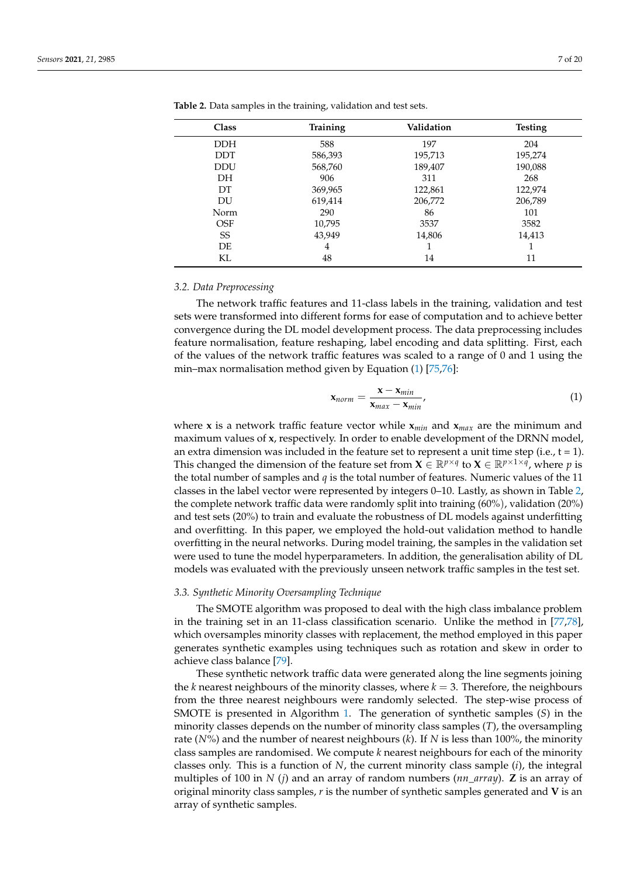| Class      | <b>Training</b> | Validation | <b>Testing</b> |
|------------|-----------------|------------|----------------|
| <b>DDH</b> | 588             | 197        | 204            |
| <b>DDT</b> | 586,393         | 195,713    | 195,274        |
| <b>DDU</b> | 568,760         | 189,407    | 190,088        |
| <b>DH</b>  | 906             | 311        | 268            |
| DT         | 369,965         | 122,861    | 122,974        |
| DU         | 619,414         | 206,772    | 206,789        |
| Norm       | 290             | 86         | 101            |
| <b>OSF</b> | 10,795          | 3537       | 3582           |
| SS         | 43,949          | 14,806     | 14,413         |
| DE         | 4               |            |                |
| KL         | 48              | 14         | 11             |

<span id="page-6-0"></span>**Table 2.** Data samples in the training, validation and test sets.

#### *3.2. Data Preprocessing*

The network traffic features and 11-class labels in the training, validation and test sets were transformed into different forms for ease of computation and to achieve better convergence during the DL model development process. The data preprocessing includes feature normalisation, feature reshaping, label encoding and data splitting. First, each of the values of the network traffic features was scaled to a range of 0 and 1 using the min–max normalisation method given by Equation [\(1\)](#page-6-1) [\[75,](#page-19-16)[76\]](#page-19-17):

<span id="page-6-1"></span>
$$
\mathbf{x}_{norm} = \frac{\mathbf{x} - \mathbf{x}_{min}}{\mathbf{x}_{max} - \mathbf{x}_{min}},
$$
(1)

where **x** is a network traffic feature vector while **x***min* and **x***max* are the minimum and maximum values of **x**, respectively. In order to enable development of the DRNN model, an extra dimension was included in the feature set to represent a unit time step (i.e.,  $t = 1$ ). This changed the dimension of the feature set from  $\mathbf{X} \in \mathbb{R}^{p \times q}$  to  $\mathbf{X} \in \mathbb{R}^{p \times 1 \times q}$ , where p is the total number of samples and *q* is the total number of features. Numeric values of the 11 classes in the label vector were represented by integers 0–10. Lastly, as shown in Table [2,](#page-6-0) the complete network traffic data were randomly split into training (60%), validation (20%) and test sets (20%) to train and evaluate the robustness of DL models against underfitting and overfitting. In this paper, we employed the hold-out validation method to handle overfitting in the neural networks. During model training, the samples in the validation set were used to tune the model hyperparameters. In addition, the generalisation ability of DL models was evaluated with the previously unseen network traffic samples in the test set.

### *3.3. Synthetic Minority Oversampling Technique*

The SMOTE algorithm was proposed to deal with the high class imbalance problem in the training set in an 11-class classification scenario. Unlike the method in [\[77,](#page-19-18)[78\]](#page-19-19), which oversamples minority classes with replacement, the method employed in this paper generates synthetic examples using techniques such as rotation and skew in order to achieve class balance [\[79\]](#page-19-20).

These synthetic network traffic data were generated along the line segments joining the *k* nearest neighbours of the minority classes, where  $k = 3$ . Therefore, the neighbours from the three nearest neighbours were randomly selected. The step-wise process of SMOTE is presented in Algorithm [1.](#page-7-0) The generation of synthetic samples (*S*) in the minority classes depends on the number of minority class samples (*T*), the oversampling rate (*N*%) and the number of nearest neighbours (*k*). If *N* is less than 100%, the minority class samples are randomised. We compute *k* nearest neighbours for each of the minority classes only. This is a function of *N*, the current minority class sample (*i*), the integral multiples of 100 in *N* (*j*) and an array of random numbers (*nn*\_*array*). **Z** is an array of original minority class samples, *r* is the number of synthetic samples generated and **V** is an array of synthetic samples.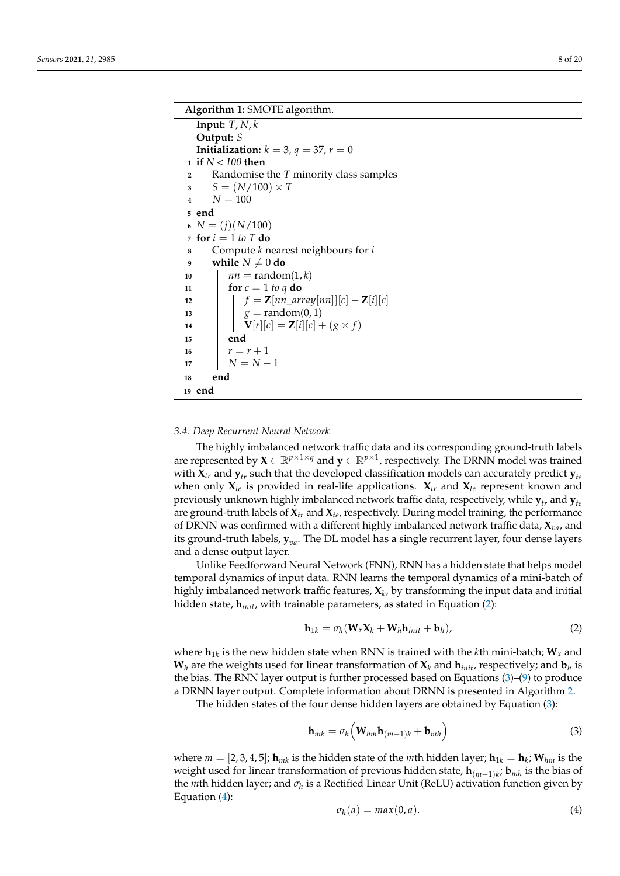```
Algorithm 1: SMOTE algorithm.
  Input: T, N, k
  Output: S
  Initialization: k = 3, q = 37, r = 01 if N < 100 then
2 Randomise the T minority class samples
3 S = (N/100) \times T4 \mid N = 1005 end
6 N = (i)(N/100)7 for i = 1 to T do
8 Compute k nearest neighbours for i
9 while N \neq 0 do
10 \mid nn = random(1, k)
11 for c = 1 to q do
12 \begin{bmatrix} f = \mathbf{Z}[nn\_array[nn]][c] - \mathbf{Z}[i][c] \end{bmatrix}13 g = random(0, 1)
14 V[r][c] = \mathbf{Z}[i][c] + (g \times f)15 end
16 r = r + 117 \mid N = N - 118 end
19 end
```
#### *3.4. Deep Recurrent Neural Network*

The highly imbalanced network traffic data and its corresponding ground-truth labels are represented by  $X \in \mathbb{R}^{p \times 1 \times q}$  and  $y \in \mathbb{R}^{p \times 1}$ , respectively. The DRNN model was trained with  $X_{tr}$  and  $Y_{tr}$  such that the developed classification models can accurately predict  $Y_{te}$ when only  $X_{te}$  is provided in real-life applications.  $X_{tr}$  and  $X_{te}$  represent known and previously unknown highly imbalanced network traffic data, respectively, while  $\mathbf{y}_t$  and  $\mathbf{y}_t$ are ground-truth labels of  $\mathbf{X}_{tr}$  and  $\mathbf{X}_{te}$ , respectively. During model training, the performance of DRNN was confirmed with a different highly imbalanced network traffic data, **X***va*, and its ground-truth labels, **y***va*. The DL model has a single recurrent layer, four dense layers and a dense output layer.

Unlike Feedforward Neural Network (FNN), RNN has a hidden state that helps model temporal dynamics of input data. RNN learns the temporal dynamics of a mini-batch of highly imbalanced network traffic features, **X***<sup>k</sup>* , by transforming the input data and initial hidden state, **h***init*, with trainable parameters, as stated in Equation [\(2\)](#page-7-1):

<span id="page-7-1"></span>
$$
\mathbf{h}_{1k} = \sigma_h(\mathbf{W}_x \mathbf{X}_k + \mathbf{W}_h \mathbf{h}_{init} + \mathbf{b}_h), \tag{2}
$$

where  $\mathbf{h}_{1k}$  is the new hidden state when RNN is trained with the *k*th mini-batch;  $\mathbf{W}_x$  and  $\mathbf{W}_h$  are the weights used for linear transformation of  $\mathbf{X}_k$  and  $\mathbf{h}_{init}$ , respectively; and  $\mathbf{b}_h$  is the bias. The RNN layer output is further processed based on Equations [\(3\)](#page-7-2)–[\(9\)](#page-8-0) to produce a DRNN layer output. Complete information about DRNN is presented in Algorithm [2.](#page-8-1)

The hidden states of the four dense hidden layers are obtained by Equation [\(3\)](#page-7-2):

<span id="page-7-2"></span>
$$
\mathbf{h}_{mk} = \sigma_h \Big( \mathbf{W}_{hm} \mathbf{h}_{(m-1)k} + \mathbf{b}_{mh} \Big)
$$
 (3)

where  $m = [2, 3, 4, 5]$ ;  $\mathbf{h}_{mk}$  is the hidden state of the *m*th hidden layer;  $\mathbf{h}_{1k} = \mathbf{h}_k$ ;  $\mathbf{W}_{hm}$  is the weight used for linear transformation of previous hidden state, **h**(*m*−1)*<sup>k</sup>* ; **b***mh* is the bias of the *m*th hidden layer; and *σ<sup>h</sup>* is a Rectified Linear Unit (ReLU) activation function given by Equation [\(4\)](#page-7-3):

<span id="page-7-3"></span>
$$
\sigma_h(a) = \max(0, a). \tag{4}
$$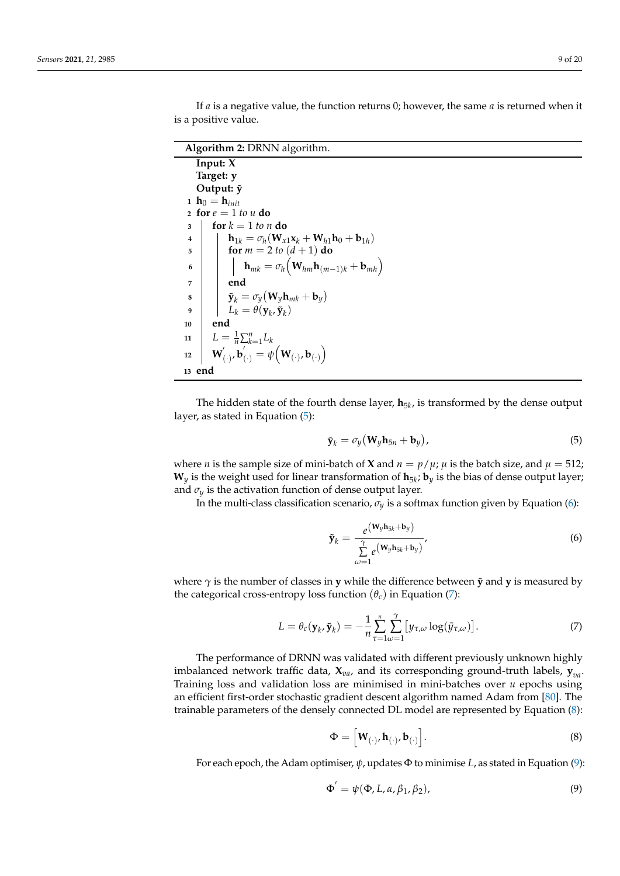If *a* is a negative value, the function returns 0; however, the same *a* is returned when it is a positive value.

**Algorithm 2:** DRNN algorithm.

<span id="page-8-1"></span>**Input: X Target: y Output:**  $\tilde{y}$ **1**  $h_0 = h_{init}$ **2 for**  $e = 1$  *to*  $u$  **do 3 for**  $k = 1$  *to n* **do**  $\mathbf{h}_1 \quad | \quad \mathbf{h}_{1k} = \sigma_h(\mathbf{W}_{x1}\mathbf{x}_k + \mathbf{W}_{h1}\mathbf{h}_0 + \mathbf{b}_{1h})$ **5 for**  $m = 2$  *to*  $(d + 1)$  **do**  $\mathbf{b}$  **h**  $h_{mk} = \sigma_h \big(\mathbf{W}_{hm} \mathbf{h}_{(m-1)k} + \mathbf{b}_{mh}\big)$ **7 end**  $\mathbf{s}$   $\mathbf{y}$   $\mathbf{y}$   $\mathbf{y}$   $\mathbf{y}$   $\mathbf{y}$   $\mathbf{y}$   $\mathbf{y}$   $\mathbf{y}$   $\mathbf{y}$ **9**  $\left| \right| \left| L_k = \theta(\mathbf{y}_k, \tilde{\mathbf{y}}_k) \right|$ **10 end 11**  $L = \frac{1}{n} \sum_{k=1}^{n} L_k$ 12 **W**  $\mathbf{b}_{\left(\cdot\right)}^{\prime}$ ,  $\mathbf{b}_{\left(\cdot\right)}^{\prime}=\psi\Big(\mathbf{W}_{\left(\cdot\right)}$ ,  $\mathbf{b}_{\left(\cdot\right)}\Big)$ **<sup>13</sup> end**

The hidden state of the fourth dense layer, **h**5*<sup>k</sup>* , is transformed by the dense output layer, as stated in Equation [\(5\)](#page-8-2):

<span id="page-8-2"></span>
$$
\tilde{\mathbf{y}}_k = \sigma_y \left( \mathbf{W}_y \mathbf{h}_{5n} + \mathbf{b}_y \right),\tag{5}
$$

where *n* is the sample size of mini-batch of **X** and  $n = p/\mu$ ;  $\mu$  is the batch size, and  $\mu = 512$ ;  $\mathbf{W}_y$  is the weight used for linear transformation of  $\mathbf{h}_{5k}$ ;  $\mathbf{b}_y$  is the bias of dense output layer; and  $\sigma_y$  is the activation function of dense output layer.

In the multi-class classification scenario,  $\sigma_y$  is a softmax function given by Equation [\(6\)](#page-8-3):

<span id="page-8-3"></span>
$$
\tilde{\mathbf{y}}_k = \frac{e^{(\mathbf{W}_y \mathbf{h}_{5k} + \mathbf{b}_y)}}{\sum\limits_{\omega=1}^{\gamma} e^{(\mathbf{W}_y \mathbf{h}_{5k} + \mathbf{b}_y)}},
$$
\n(6)

where  $\gamma$  is the number of classes in **y** while the difference between **y** and **y** is measured by the categorical cross-entropy loss function  $(\theta_c)$  in Equation [\(7\)](#page-8-4):

<span id="page-8-4"></span>
$$
L = \theta_c(\mathbf{y}_k, \tilde{\mathbf{y}}_k) = -\frac{1}{n} \sum_{\tau=1}^n \sum_{\omega=1}^\gamma \left[ y_{\tau,\omega} \log(\tilde{y}_{\tau,\omega}) \right]. \tag{7}
$$

The performance of DRNN was validated with different previously unknown highly imbalanced network traffic data, **X***va*, and its corresponding ground-truth labels, **y***va*. Training loss and validation loss are minimised in mini-batches over *u* epochs using an efficient first-order stochastic gradient descent algorithm named Adam from [\[80\]](#page-19-21). The trainable parameters of the densely connected DL model are represented by Equation [\(8\)](#page-8-5):

<span id="page-8-5"></span>
$$
\Phi = \left[ \mathbf{W}_{(\cdot)}, \mathbf{h}_{(\cdot)}, \mathbf{b}_{(\cdot)} \right]. \tag{8}
$$

For each epoch, the Adam optimiser, *ψ*, updates Φ to minimise *L*, as stated in Equation [\(9\)](#page-8-0):

<span id="page-8-0"></span>
$$
\Phi' = \psi(\Phi, L, \alpha, \beta_1, \beta_2), \tag{9}
$$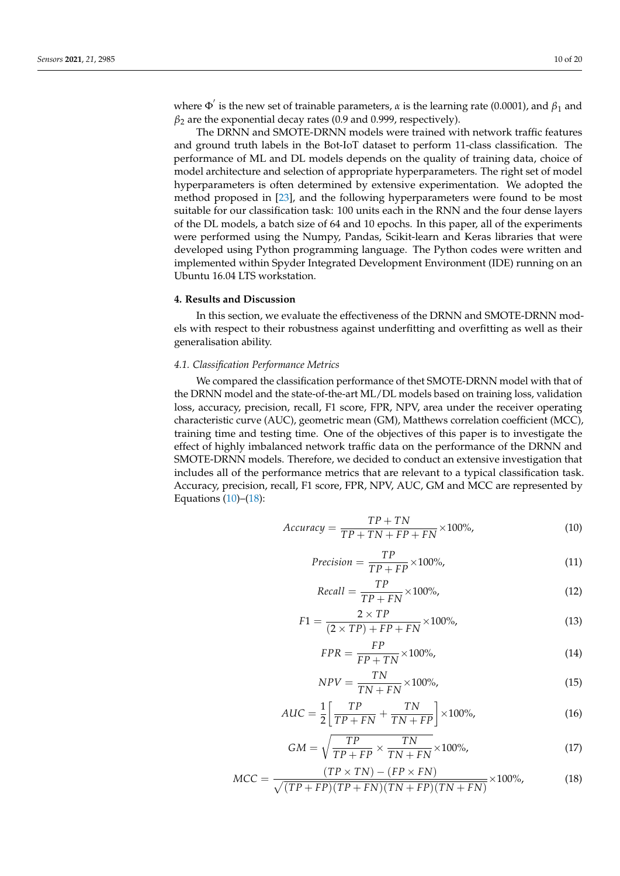where  $\Phi'$  is the new set of trainable parameters, *α* is the learning rate (0.0001), and  $β_1$  and *β*<sup>2</sup> are the exponential decay rates (0.9 and 0.999, respectively).

The DRNN and SMOTE-DRNN models were trained with network traffic features and ground truth labels in the Bot-IoT dataset to perform 11-class classification. The performance of ML and DL models depends on the quality of training data, choice of model architecture and selection of appropriate hyperparameters. The right set of model hyperparameters is often determined by extensive experimentation. We adopted the method proposed in [\[23\]](#page-17-16), and the following hyperparameters were found to be most suitable for our classification task: 100 units each in the RNN and the four dense layers of the DL models, a batch size of 64 and 10 epochs. In this paper, all of the experiments were performed using the Numpy, Pandas, Scikit-learn and Keras libraries that were developed using Python programming language. The Python codes were written and implemented within Spyder Integrated Development Environment (IDE) running on an Ubuntu 16.04 LTS workstation.

#### <span id="page-9-0"></span>**4. Results and Discussion**

In this section, we evaluate the effectiveness of the DRNN and SMOTE-DRNN models with respect to their robustness against underfitting and overfitting as well as their generalisation ability.

## *4.1. Classification Performance Metrics*

We compared the classification performance of thet SMOTE-DRNN model with that of the DRNN model and the state-of-the-art ML/DL models based on training loss, validation loss, accuracy, precision, recall, F1 score, FPR, NPV, area under the receiver operating characteristic curve (AUC), geometric mean (GM), Matthews correlation coefficient (MCC), training time and testing time. One of the objectives of this paper is to investigate the effect of highly imbalanced network traffic data on the performance of the DRNN and SMOTE-DRNN models. Therefore, we decided to conduct an extensive investigation that includes all of the performance metrics that are relevant to a typical classification task. Accuracy, precision, recall, F1 score, FPR, NPV, AUC, GM and MCC are represented by Equations  $(10)$ – $(18)$ :

<span id="page-9-1"></span>
$$
Accuracy = \frac{TP + TN}{TP + TN + FP + FN} \times 100\%,
$$
\n(10)

$$
Precision = \frac{TP}{TP + FP} \times 100\%,\tag{11}
$$

$$
Recall = \frac{TP}{TP + FN} \times 100\%,\tag{12}
$$

$$
F1 = \frac{2 \times TP}{(2 \times TP) + FP + FN} \times 100\%,\tag{13}
$$

$$
FPR = \frac{FP}{FP + TN} \times 100\%,\tag{14}
$$

$$
NPV = \frac{TN}{TN + FN} \times 100\%,\tag{15}
$$

$$
AUC = \frac{1}{2} \left[ \frac{TP}{TP + FN} + \frac{TN}{TN + FP} \right] \times 100\%,\tag{16}
$$

$$
GM = \sqrt{\frac{TP}{TP + FP} \times \frac{TN}{TN + FN}} \times 100\%,\tag{17}
$$

<span id="page-9-2"></span>
$$
MCC = \frac{(TP \times TN) - (FP \times FN)}{\sqrt{(TP + FP)(TP + FN)(TN + FP)(TN + FN)}} \times 100\%,\tag{18}
$$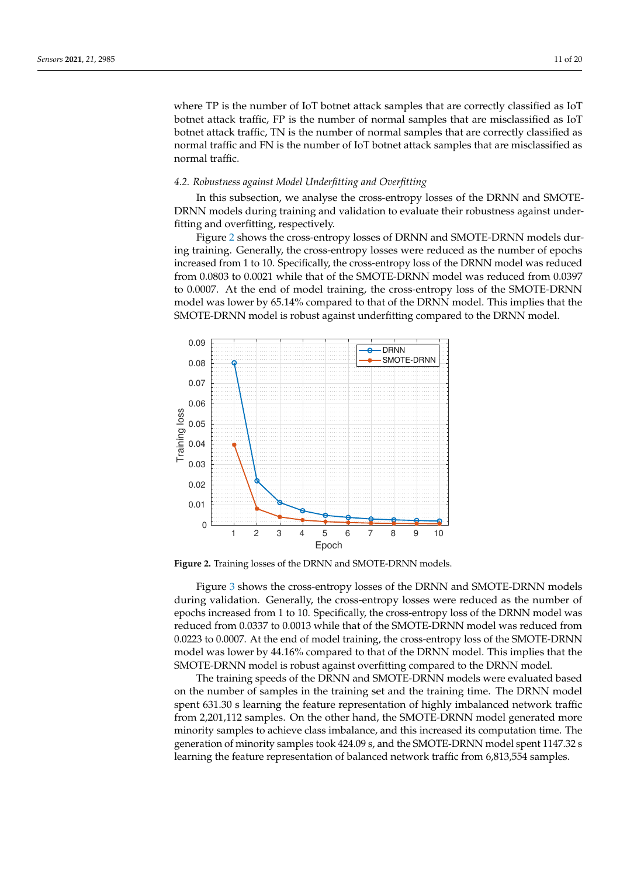where TP is the number of IoT botnet attack samples that are correctly classified as IoT botnet attack traffic, FP is the number of normal samples that are misclassified as IoT botnet attack traffic, TN is the number of normal samples that are correctly classified as normal traffic and FN is the number of IoT botnet attack samples that are misclassified as normal traffic.

#### *4.2. Robustness against Model Underfitting and Overfitting*

In this subsection, we analyse the cross-entropy losses of the DRNN and SMOTE-DRNN models during training and validation to evaluate their robustness against underfitting and overfitting, respectively.

Figure [2](#page-10-0) shows the cross-entropy losses of DRNN and SMOTE-DRNN models during training. Generally, the cross-entropy losses were reduced as the number of epochs increased from 1 to 10. Specifically, the cross-entropy loss of the DRNN model was reduced from 0.0803 to 0.0021 while that of the SMOTE-DRNN model was reduced from 0.0397 to 0.0007. At the end of model training, the cross-entropy loss of the SMOTE-DRNN model was lower by 65.14% compared to that of the DRNN model. This implies that the SMOTE-DRNN model is robust against underfitting compared to the DRNN model.

<span id="page-10-0"></span>

**Figure 2.** Training losses of the DRNN and SMOTE-DRNN models.

Figure [3](#page-11-0) shows the cross-entropy losses of the DRNN and SMOTE-DRNN models during validation. Generally, the cross-entropy losses were reduced as the number of epochs increased from 1 to 10. Specifically, the cross-entropy loss of the DRNN model was reduced from 0.0337 to 0.0013 while that of the SMOTE-DRNN model was reduced from 0.0223 to 0.0007. At the end of model training, the cross-entropy loss of the SMOTE-DRNN model was lower by 44.16% compared to that of the DRNN model. This implies that the SMOTE-DRNN model is robust against overfitting compared to the DRNN model.

The training speeds of the DRNN and SMOTE-DRNN models were evaluated based on the number of samples in the training set and the training time. The DRNN model spent 631.30 s learning the feature representation of highly imbalanced network traffic from 2,201,112 samples. On the other hand, the SMOTE-DRNN model generated more minority samples to achieve class imbalance, and this increased its computation time. The generation of minority samples took 424.09 s, and the SMOTE-DRNN model spent 1147.32 s learning the feature representation of balanced network traffic from 6,813,554 samples.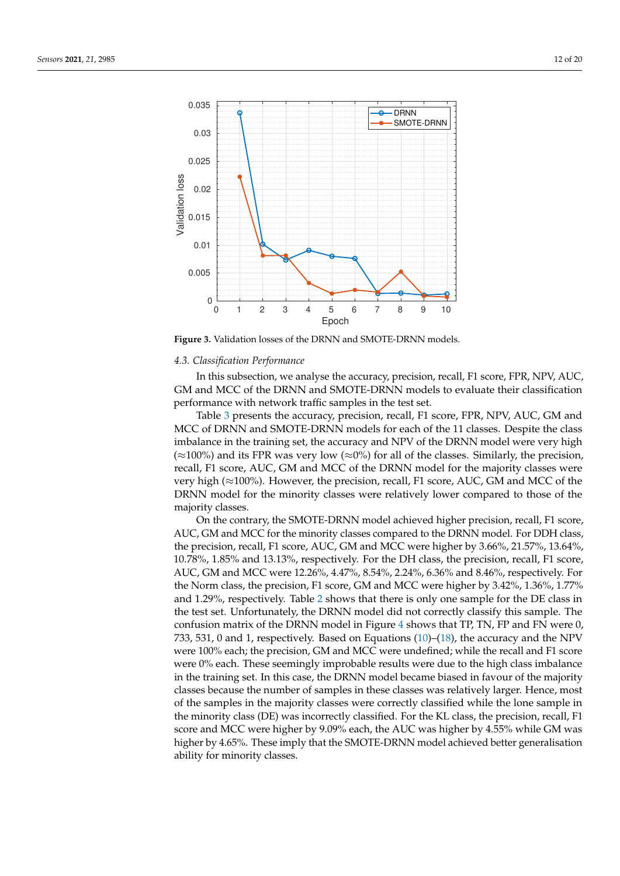<span id="page-11-0"></span>

**Figure 3.** Validation losses of the DRNN and SMOTE-DRNN models.

#### *4.3. Classification Performance*

In this subsection, we analyse the accuracy, precision, recall, F1 score, FPR, NPV, AUC, GM and MCC of the DRNN and SMOTE-DRNN models to evaluate their classification performance with network traffic samples in the test set.

Table [3](#page-12-0) presents the accuracy, precision, recall, F1 score, FPR, NPV, AUC, GM and MCC of DRNN and SMOTE-DRNN models for each of the 11 classes. Despite the class imbalance in the training set, the accuracy and NPV of the DRNN model were very high  $(\approx 100\%)$  and its FPR was very low  $(\approx 0\%)$  for all of the classes. Similarly, the precision, recall, F1 score, AUC, GM and MCC of the DRNN model for the majority classes were very high ( $\approx$ 100%). However, the precision, recall, F1 score, AUC, GM and MCC of the DRNN model for the minority classes were relatively lower compared to those of the majority classes.

On the contrary, the SMOTE-DRNN model achieved higher precision, recall, F1 score, AUC, GM and MCC for the minority classes compared to the DRNN model. For DDH class, the precision, recall, F1 score, AUC, GM and MCC were higher by 3.66%, 21.57%, 13.64%, 10.78%, 1.85% and 13.13%, respectively. For the DH class, the precision, recall, F1 score, AUC, GM and MCC were 12.26%, 4.47%, 8.54%, 2.24%, 6.36% and 8.46%, respectively. For the Norm class, the precision, F1 score, GM and MCC were higher by 3.42%, 1.36%, 1.77% and 1.29%, respectively. Table [2](#page-6-0) shows that there is only one sample for the DE class in the test set. Unfortunately, the DRNN model did not correctly classify this sample. The confusion matrix of the DRNN model in Figure [4](#page-13-0) shows that TP, TN, FP and FN were 0, 733, 531, 0 and 1, respectively. Based on Equations  $(10)$ – $(18)$ , the accuracy and the NPV were 100% each; the precision, GM and MCC were undefined; while the recall and F1 score were 0% each. These seemingly improbable results were due to the high class imbalance in the training set. In this case, the DRNN model became biased in favour of the majority classes because the number of samples in these classes was relatively larger. Hence, most of the samples in the majority classes were correctly classified while the lone sample in the minority class (DE) was incorrectly classified. For the KL class, the precision, recall, F1 score and MCC were higher by 9.09% each, the AUC was higher by 4.55% while GM was higher by 4.65%. These imply that the SMOTE-DRNN model achieved better generalisation ability for minority classes.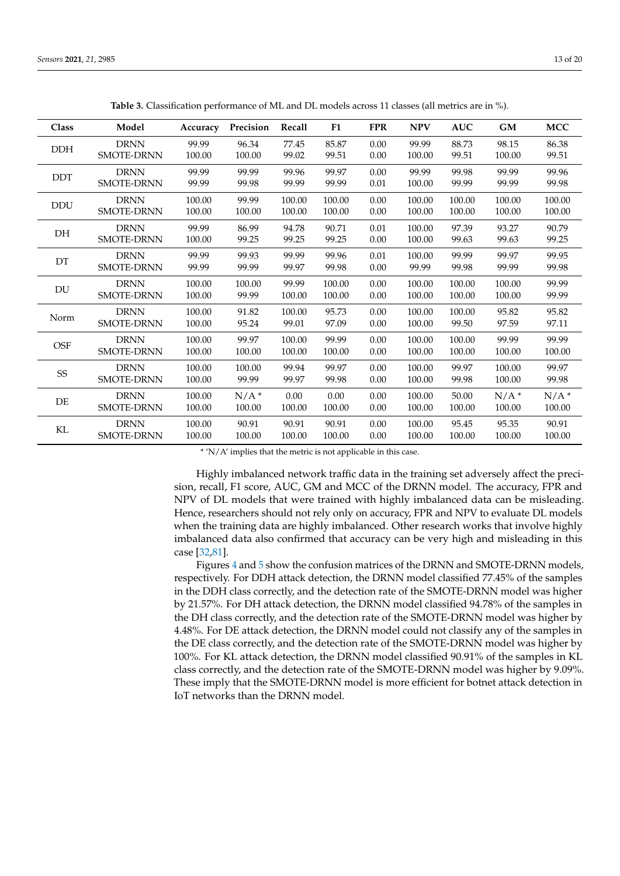<span id="page-12-0"></span>

| Class                  | Model             | Accuracy | Precision | Recall | F1     | <b>FPR</b> | <b>NPV</b> | <b>AUC</b> | GM                 | <b>MCC</b> |
|------------------------|-------------------|----------|-----------|--------|--------|------------|------------|------------|--------------------|------------|
| <b>DDH</b>             | <b>DRNN</b>       | 99.99    | 96.34     | 77.45  | 85.87  | 0.00       | 99.99      | 88.73      | 98.15              | 86.38      |
|                        | <b>SMOTE-DRNN</b> | 100.00   | 100.00    | 99.02  | 99.51  | 0.00       | 100.00     | 99.51      | 100.00             | 99.51      |
| DDT                    | <b>DRNN</b>       | 99.99    | 99.99     | 99.96  | 99.97  | 0.00       | 99.99      | 99.98      | 99.99              | 99.96      |
|                        | SMOTE-DRNN        | 99.99    | 99.98     | 99.99  | 99.99  | 0.01       | 100.00     | 99.99      | 99.99              | 99.98      |
| <b>DDU</b>             | <b>DRNN</b>       | 100.00   | 99.99     | 100.00 | 100.00 | 0.00       | 100.00     | 100.00     | 100.00             | 100.00     |
|                        | SMOTE-DRNN        | 100.00   | 100.00    | 100.00 | 100.00 | 0.00       | 100.00     | 100.00     | 100.00             | 100.00     |
| DH                     | <b>DRNN</b>       | 99.99    | 86.99     | 94.78  | 90.71  | 0.01       | 100.00     | 97.39      | 93.27              | 90.79      |
|                        | <b>SMOTE-DRNN</b> | 100.00   | 99.25     | 99.25  | 99.25  | 0.00       | 100.00     | 99.63      | 99.63              | 99.25      |
| DT                     | <b>DRNN</b>       | 99.99    | 99.93     | 99.99  | 99.96  | 0.01       | 100.00     | 99.99      | 99.97              | 99.95      |
|                        | <b>SMOTE-DRNN</b> | 99.99    | 99.99     | 99.97  | 99.98  | 0.00       | 99.99      | 99.98      | 99.99              | 99.98      |
| $\mathbf{D}\mathbf{U}$ | <b>DRNN</b>       | 100.00   | 100.00    | 99.99  | 100.00 | 0.00       | 100.00     | 100.00     | 100.00             | 99.99      |
|                        | <b>SMOTE-DRNN</b> | 100.00   | 99.99     | 100.00 | 100.00 | 0.00       | 100.00     | 100.00     | 100.00             | 99.99      |
| Norm                   | <b>DRNN</b>       | 100.00   | 91.82     | 100.00 | 95.73  | 0.00       | 100.00     | 100.00     | 95.82              | 95.82      |
|                        | SMOTE-DRNN        | 100.00   | 95.24     | 99.01  | 97.09  | 0.00       | 100.00     | 99.50      | 97.59              | 97.11      |
| <b>OSF</b>             | <b>DRNN</b>       | 100.00   | 99.97     | 100.00 | 99.99  | 0.00       | 100.00     | 100.00     | 99.99              | 99.99      |
|                        | <b>SMOTE-DRNN</b> | 100.00   | 100.00    | 100.00 | 100.00 | 0.00       | 100.00     | 100.00     | 100.00             | 100.00     |
| SS                     | <b>DRNN</b>       | 100.00   | 100.00    | 99.94  | 99.97  | $0.00\,$   | 100.00     | 99.97      | 100.00             | 99.97      |
|                        | <b>SMOTE-DRNN</b> | 100.00   | 99.99     | 99.97  | 99.98  | 0.00       | 100.00     | 99.98      | 100.00             | 99.98      |
| DE                     | <b>DRNN</b>       | 100.00   | $N/A^*$   | 0.00   | 0.00   | 0.00       | 100.00     | 50.00      | $N/A$ <sup>*</sup> | $N/A^*$    |
|                        | <b>SMOTE-DRNN</b> | 100.00   | 100.00    | 100.00 | 100.00 | 0.00       | 100.00     | 100.00     | 100.00             | 100.00     |
| KL                     | <b>DRNN</b>       | 100.00   | 90.91     | 90.91  | 90.91  | 0.00       | 100.00     | 95.45      | 95.35              | 90.91      |
|                        | <b>SMOTE-DRNN</b> | 100.00   | 100.00    | 100.00 | 100.00 | 0.00       | 100.00     | 100.00     | 100.00             | 100.00     |

**Table 3.** Classification performance of ML and DL models across 11 classes (all metrics are in %).

\* 'N/A' implies that the metric is not applicable in this case.

Highly imbalanced network traffic data in the training set adversely affect the precision, recall, F1 score, AUC, GM and MCC of the DRNN model. The accuracy, FPR and NPV of DL models that were trained with highly imbalanced data can be misleading. Hence, researchers should not rely only on accuracy, FPR and NPV to evaluate DL models when the training data are highly imbalanced. Other research works that involve highly imbalanced data also confirmed that accuracy can be very high and misleading in this case [\[32](#page-17-21)[,81\]](#page-19-22).

Figures [4](#page-13-0) and [5](#page-13-1) show the confusion matrices of the DRNN and SMOTE-DRNN models, respectively. For DDH attack detection, the DRNN model classified 77.45% of the samples in the DDH class correctly, and the detection rate of the SMOTE-DRNN model was higher by 21.57%. For DH attack detection, the DRNN model classified 94.78% of the samples in the DH class correctly, and the detection rate of the SMOTE-DRNN model was higher by 4.48%. For DE attack detection, the DRNN model could not classify any of the samples in the DE class correctly, and the detection rate of the SMOTE-DRNN model was higher by 100%. For KL attack detection, the DRNN model classified 90.91% of the samples in KL class correctly, and the detection rate of the SMOTE-DRNN model was higher by 9.09%. These imply that the SMOTE-DRNN model is more efficient for botnet attack detection in IoT networks than the DRNN model.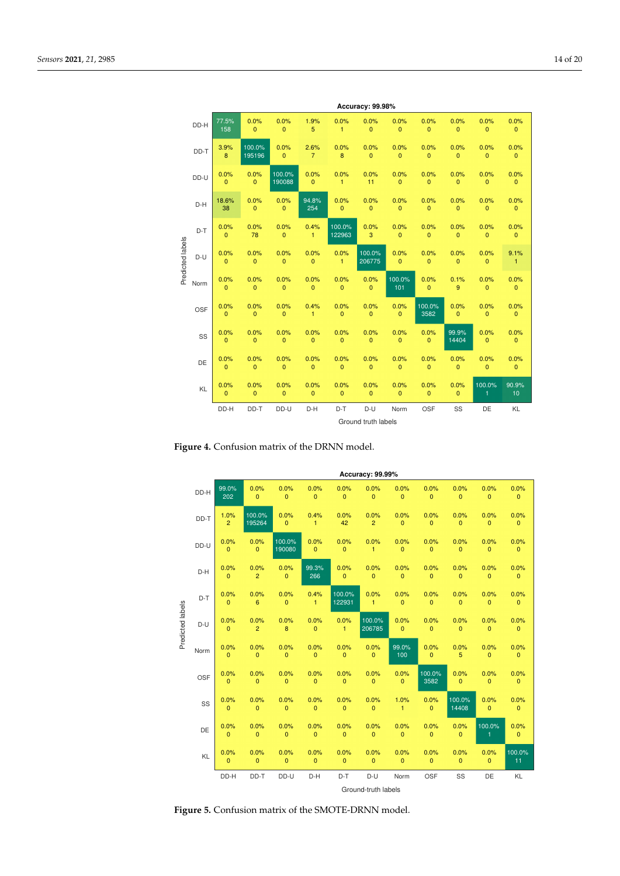<span id="page-13-0"></span>

|                  | Accuracy: 99.98% |                        |                        |                        |                        |                        |                      |                        |                        |                        |                        |                      |  |
|------------------|------------------|------------------------|------------------------|------------------------|------------------------|------------------------|----------------------|------------------------|------------------------|------------------------|------------------------|----------------------|--|
|                  | DD-H             | 77.5%<br>158           | 0.0%<br>$\mathbf{0}$   | 0.0%<br>$\mathbf{0}$   | 1.9%<br>5              | 0.0%<br>$\mathbf{1}$   | 0.0%<br>$\mathbf 0$  | 0.0%<br>0              | 0.0%<br>$\mathbf{0}$   | 0.0%<br>$\mathbf 0$    | 0.0%<br>0              | 0.0%<br>$\mathbf{0}$ |  |
|                  | DD-T             | 3.9%<br>8              | 100.0%<br>195196       | 0.0%<br>$\overline{0}$ | 2.6%<br>7              | 0.0%<br>8              | 0.0%<br>$\mathbf{0}$ | 0.0%<br>0              | 0.0%<br>$\mathbf{0}$   | 0.0%<br>$\mathbf{0}$   | 0.0%<br>$\mathbf{0}$   | 0.0%<br>$\mathbf{0}$ |  |
|                  | DD-U             | 0.0%<br>$\overline{0}$ | 0.0%<br>$\overline{0}$ | 100.0%<br>190088       | 0.0%<br>$\overline{0}$ | 0.0%<br>$\mathbf{1}$   | 0.0%<br>11           | 0.0%<br>$\overline{0}$ | 0.0%<br>$\overline{0}$ | 0.0%<br>$\mathbf{0}$   | 0.0%<br>$\overline{0}$ | 0.0%<br>$\mathbf{0}$ |  |
|                  | D-H              | 18.6%<br>38            | 0.0%<br>$\overline{0}$ | 0.0%<br>$\mathbf{0}$   | 94.8%<br>254           | 0.0%<br>$\overline{0}$ | 0.0%<br>$\mathbf{0}$ | 0.0%<br>$\overline{0}$ | 0.0%<br>$\overline{0}$ | 0.0%<br>$\mathbf{0}$   | 0.0%<br>$\overline{0}$ | 0.0%<br>$\mathbf{0}$ |  |
|                  | $D-T$            | 0.0%<br>$\mathbf 0$    | 0.0%<br>78             | 0.0%<br>$\mathbf{0}$   | 0.4%<br>1              | 100.0%<br>122963       | 0.0%<br>3            | 0.0%<br>0              | 0.0%<br>$\mathbf{0}$   | 0.0%<br>$\mathbf 0$    | 0.0%<br>0              | 0.0%<br>$\mathbf{0}$ |  |
| Predicted labels | $D-U$            | 0.0%<br>$\mathbf{0}$   | 0.0%<br>$\mathbf 0$    | 0.0%<br>0              | 0.0%<br>0              | 0.0%<br>$\mathbf{1}$   | 100.0%<br>206775     | 0.0%<br>$\mathbf{0}$   | 0.0%<br>$\mathbf{0}$   | 0.0%<br>0              | 0.0%<br>$\mathbf{0}$   | 9.1%<br>$\mathbf{1}$ |  |
|                  | Norm             | 0.0%<br>$\overline{0}$ | 0.0%<br>$\mathbf{0}$   | 0.0%<br>$\mathbf 0$    | 0.0%<br>0              | 0.0%<br>$\mathbf{0}$   | 0.0%<br>$\mathbf{0}$ | 100.0%<br>101          | 0.0%<br>$\mathbf{0}$   | 0.1%<br>$\overline{9}$ | 0.0%<br>$\mathbf{0}$   | 0.0%<br>$\mathbf{0}$ |  |
|                  | <b>OSF</b>       | 0.0%<br>$\mathbf{0}$   | 0.0%<br>$\overline{0}$ | 0.0%<br>0              | 0.4%<br>1              | 0.0%<br>$\overline{0}$ | 0.0%<br>$\mathbf{0}$ | 0.0%<br>$\mathbf{0}$   | 100.0%<br>3582         | 0.0%<br>$\mathbf{0}$   | 0.0%<br>$\mathbf{0}$   | 0.0%<br>$\mathbf{0}$ |  |
|                  | SS               | 0.0%<br>$\overline{0}$ | 0.0%<br>$\mathbf{0}$   | 0.0%<br>$\mathbf{0}$   | 0.0%<br>$\mathbf 0$    | 0.0%<br>$\mathbf{0}$   | 0.0%<br>$\mathbf{0}$ | 0.0%<br>$\mathbf{0}$   | 0.0%<br>$\mathbf{0}$   | 99.9%<br>14404         | 0.0%<br>$\mathbf{0}$   | 0.0%<br>$\mathbf{0}$ |  |
|                  | DE               | 0.0%<br>$\mathbf{0}$   | 0.0%<br>$\overline{0}$ | 0.0%<br>$\mathbf{0}$   | 0.0%<br>$\mathbf{0}$   | 0.0%<br>$\mathbf{0}$   | 0.0%<br>$\mathbf{0}$ | 0.0%<br>$\mathbf{0}$   | 0.0%<br>$\overline{0}$ | 0.0%<br>$\mathbf{0}$   | 0.0%<br>$\mathbf{0}$   | 0.0%<br>$\mathbf{0}$ |  |
|                  | KL               | 0.0%<br>$\mathbf{0}$   | 0.0%<br>$\mathbf{0}$   | 0.0%<br>$\mathbf{0}$   | 0.0%<br>$\mathbf{0}$   | 0.0%<br>$\mathbf{0}$   | 0.0%<br>$\mathbf{0}$ | 0.0%<br>$\mathbf{0}$   | 0.0%<br>$\mathbf{0}$   | 0.0%<br>$\mathbf{0}$   | 100.0%<br>1            | 90.9%<br>10          |  |
|                  |                  | DD-H                   | DD-T                   | DD-U                   | D-H                    | $D-T$                  | D-U                  | Norm                   | OSF                    | SS                     | DE                     | KL                   |  |
|                  |                  |                        |                        |                        |                        |                        | Ground truth labels  |                        |                        |                        |                        |                      |  |

**Figure 4.** Confusion matrix of the DRNN model.

<span id="page-13-1"></span>

|                  |      |                        |                        |                          |                        |                      | Accuracy: 99.99%       |                        |                        |                        |                        |                      |
|------------------|------|------------------------|------------------------|--------------------------|------------------------|----------------------|------------------------|------------------------|------------------------|------------------------|------------------------|----------------------|
|                  | DD-H | 99.0%<br>202           | 0.0%<br>$\mathbf{0}$   | 0.0%<br>0                | 0.0%<br>0              | 0.0%<br>$\mathbf 0$  | 0.0%<br>$\mathbf{0}$   | 0.0%<br>$\mathbf 0$    | 0.0%<br>$\mathbf{0}$   | 0.0%<br>0              | 0.0%<br>$\mathbf{0}$   | 0.0%<br>$\mathbf{0}$ |
|                  | DD-T | 1.0%<br>$\overline{2}$ | 100.0%<br>195264       | 0.0%<br>$\overline{0}$   | 0.4%<br>$\mathbf{1}$   | 0.0%<br>42           | 0.0%<br>$\overline{2}$ | 0.0%<br>$\overline{0}$ | 0.0%<br>$\mathbf{0}$   | 0.0%<br>$\overline{0}$ | 0.0%<br>$\mathbf{0}$   | 0.0%<br>$\mathbf{0}$ |
|                  | DD-U | 0.0%<br>$\overline{0}$ | 0.0%<br>$\mathbf{0}$   | 100.0%<br>190080         | 0.0%<br>$\overline{0}$ | 0.0%<br>$\mathbf{0}$ | 0.0%<br>$\mathbf{1}$   | 0.0%<br>$\mathbf 0$    | 0.0%<br>$\overline{0}$ | 0.0%<br>$\mathbf 0$    | 0.0%<br>$\mathbf 0$    | 0.0%<br>$\mathbf{0}$ |
| Predicted labels | D-H  | 0.0%<br>$\overline{0}$ | 0.0%<br>$\overline{2}$ | 0.0%<br>$\mathbf{0}$     | 99.3%<br>266           | 0.0%<br>$\mathbf{0}$ | 0.0%<br>$\mathbf{0}$   | 0.0%<br>$\mathbf 0$    | 0.0%<br>$\overline{0}$ | 0.0%<br>$\mathbf 0$    | 0.0%<br>$\mathbf 0$    | 0.0%<br>$\mathbf{0}$ |
|                  | D-T  | 0.0%<br>$\mathbf{0}$   | 0.0%<br>6              | 0.0%<br>$\mathbf{0}$     | 0.4%<br>$\mathbf{1}$   | 100.0%<br>122931     | 0.0%<br>$\mathbf{1}$   | 0.0%<br>$\overline{0}$ | 0.0%<br>$\mathbf 0$    | 0.0%<br>$\mathbf{0}$   | 0.0%<br>$\mathbf{0}$   | 0.0%<br>$\mathbf{0}$ |
|                  | D-U  | 0.0%<br>$\mathbf 0$    | 0.0%<br>$\overline{2}$ | 0.0%<br>$\boldsymbol{8}$ | 0.0%<br>$\mathbf 0$    | 0.0%<br>$\mathbf{1}$ | 100.0%<br>206785       | 0.0%<br>$\mathbf 0$    | 0.0%<br>$\mathbf{0}$   | 0.0%<br>$\mathbf{0}$   | 0.0%<br>$\mathbf{0}$   | 0.0%<br>$\mathbf{0}$ |
|                  | Norm | 0.0%<br>0              | 0.0%<br>$\mathbf{0}$   | 0.0%<br>$\mathbf{0}$     | 0.0%<br>$\mathbf{0}$   | 0.0%<br>$\mathbf{0}$ | 0.0%<br>$\mathbf{0}$   | 99.0%<br>100           | 0.0%<br>$\mathbf{0}$   | 0.0%<br>5              | 0.0%<br>$\mathbf{0}$   | 0.0%<br>$\mathbf{0}$ |
|                  | OSF  | 0.0%<br>$\mathbf{0}$   | 0.0%<br>$\mathbf{0}$   | 0.0%<br>$\mathbf{0}$     | 0.0%<br>$\mathbf 0$    | 0.0%<br>$\mathbf{0}$ | 0.0%<br>$\mathbf{0}$   | 0.0%<br>$\mathbf{0}$   | 100.0%<br>3582         | 0.0%<br>$\mathbf{0}$   | 0.0%<br>$\mathbf{0}$   | 0.0%<br>$\mathbf{0}$ |
|                  | SS   | 0.0%<br>$\mathbf{0}$   | 0.0%<br>$\mathbf{0}$   | 0.0%<br>$\mathbf{0}$     | 0.0%<br>$\mathbf 0$    | 0.0%<br>$\mathbf{0}$ | 0.0%<br>$\mathbf{0}$   | 1.0%<br>$\mathbf{1}$   | 0.0%<br>$\mathbf{0}$   | 100.0%<br>14408        | 0.0%<br>$\mathbf{0}$   | 0.0%<br>$\mathbf{0}$ |
|                  | DE   | 0.0%<br>$\mathbf{0}$   | 0.0%<br>$\mathbf{0}$   | 0.0%<br>$\mathbf{0}$     | 0.0%<br>$\mathbf{0}$   | 0.0%<br>$\mathbf{0}$ | 0.0%<br>$\mathbf{0}$   | 0.0%<br>$\mathbf 0$    | 0.0%<br>$\mathbf{0}$   | 0.0%<br>$\mathbf{0}$   | 100.0%<br>$\mathbf{1}$ | 0.0%<br>$\mathbf{0}$ |
|                  | KL   | 0.0%<br>$\overline{0}$ | 0.0%<br>$\mathbf{0}$   | 0.0%<br>$\mathbf{0}$     | 0.0%<br>$\mathbf{0}$   | 0.0%<br>$\mathbf{0}$ | 0.0%<br>$\mathbf{0}$   | 0.0%<br>$\overline{0}$ | 0.0%<br>$\overline{0}$ | 0.0%<br>$\mathbf{0}$   | 0.0%<br>$\mathbf{0}$   | 100.0%<br>11         |
|                  |      | DD-H                   | DD-T                   | DD-U                     | D-H                    | $D-T$                | D-U                    | Norm                   | OSF                    | SS                     | DE                     | KL                   |
|                  |      |                        |                        |                          |                        |                      | Ground-truth labels    |                        |                        |                        |                        |                      |

**Figure 5.** Confusion matrix of the SMOTE-DRNN model.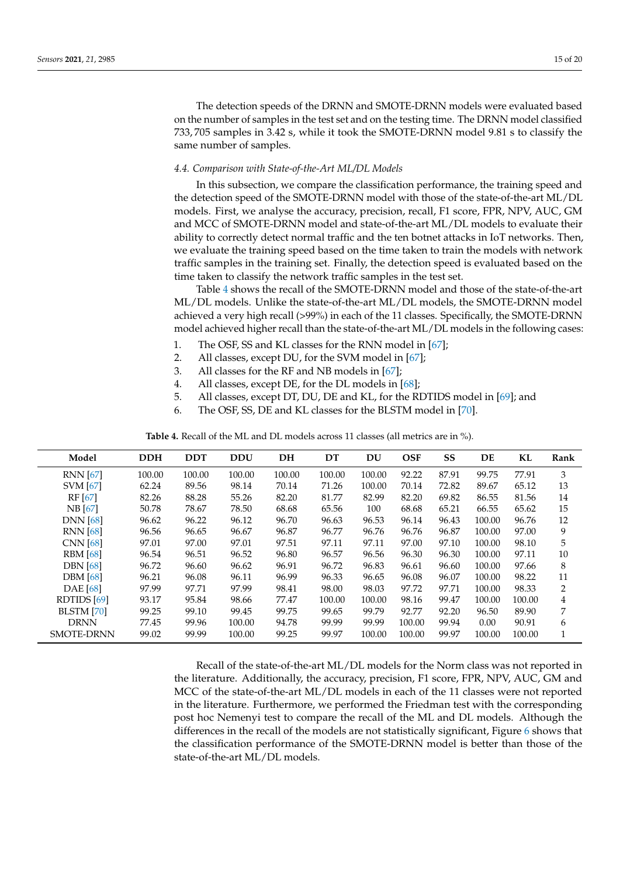The detection speeds of the DRNN and SMOTE-DRNN models were evaluated based on the number of samples in the test set and on the testing time. The DRNN model classified 733, 705 samples in 3.42 s, while it took the SMOTE-DRNN model 9.81 s to classify the same number of samples.

## *4.4. Comparison with State-of-the-Art ML/DL Models*

In this subsection, we compare the classification performance, the training speed and the detection speed of the SMOTE-DRNN model with those of the state-of-the-art ML/DL models. First, we analyse the accuracy, precision, recall, F1 score, FPR, NPV, AUC, GM and MCC of SMOTE-DRNN model and state-of-the-art ML/DL models to evaluate their ability to correctly detect normal traffic and the ten botnet attacks in IoT networks. Then, we evaluate the training speed based on the time taken to train the models with network traffic samples in the training set. Finally, the detection speed is evaluated based on the time taken to classify the network traffic samples in the test set.

Table [4](#page-14-0) shows the recall of the SMOTE-DRNN model and those of the state-of-the-art ML/DL models. Unlike the state-of-the-art ML/DL models, the SMOTE-DRNN model achieved a very high recall (>99%) in each of the 11 classes. Specifically, the SMOTE-DRNN model achieved higher recall than the state-of-the-art ML/DL models in the following cases:

- 1. The OSF, SS and KL classes for the RNN model in [\[67\]](#page-19-8);
- 2. All classes, except DU, for the SVM model in [\[67\]](#page-19-8);
- 3. All classes for the RF and NB models in [\[67\]](#page-19-8);
- 4. All classes, except DE, for the DL models in [\[68\]](#page-19-9);
- 5. All classes, except DT, DU, DE and KL, for the RDTIDS model in [\[69\]](#page-19-10); and
- 6. The OSF, SS, DE and KL classes for the BLSTM model in [\[70\]](#page-19-11).

**Table 4.** Recall of the ML and DL models across 11 classes (all metrics are in %).

<span id="page-14-0"></span>

| Model             | <b>DDH</b> | <b>DDT</b> | <b>DDU</b> | DH     | DT     | DU     | <b>OSF</b> | <b>SS</b> | DE     | KL     | Rank |
|-------------------|------------|------------|------------|--------|--------|--------|------------|-----------|--------|--------|------|
| <b>RNN</b> [67]   | 100.00     | 100.00     | 100.00     | 100.00 | 100.00 | 100.00 | 92.22      | 87.91     | 99.75  | 77.91  | 3    |
| <b>SVM [67]</b>   | 62.24      | 89.56      | 98.14      | 70.14  | 71.26  | 100.00 | 70.14      | 72.82     | 89.67  | 65.12  | 13   |
| RF [67]           | 82.26      | 88.28      | 55.26      | 82.20  | 81.77  | 82.99  | 82.20      | 69.82     | 86.55  | 81.56  | 14   |
| NB [67]           | 50.78      | 78.67      | 78.50      | 68.68  | 65.56  | 100    | 68.68      | 65.21     | 66.55  | 65.62  | 15   |
| <b>DNN</b> [68]   | 96.62      | 96.22      | 96.12      | 96.70  | 96.63  | 96.53  | 96.14      | 96.43     | 100.00 | 96.76  | 12   |
| <b>RNN</b> [68]   | 96.56      | 96.65      | 96.67      | 96.87  | 96.77  | 96.76  | 96.76      | 96.87     | 100.00 | 97.00  | 9    |
| <b>CNN</b> [68]   | 97.01      | 97.00      | 97.01      | 97.51  | 97.11  | 97.11  | 97.00      | 97.10     | 100.00 | 98.10  | 5    |
| <b>RBM</b> [68]   | 96.54      | 96.51      | 96.52      | 96.80  | 96.57  | 96.56  | 96.30      | 96.30     | 100.00 | 97.11  | 10   |
| <b>DBN</b> [68]   | 96.72      | 96.60      | 96.62      | 96.91  | 96.72  | 96.83  | 96.61      | 96.60     | 100.00 | 97.66  | 8    |
| <b>DBM</b> [68]   | 96.21      | 96.08      | 96.11      | 96.99  | 96.33  | 96.65  | 96.08      | 96.07     | 100.00 | 98.22  | 11   |
| <b>DAE</b> [68]   | 97.99      | 97.71      | 97.99      | 98.41  | 98.00  | 98.03  | 97.72      | 97.71     | 100.00 | 98.33  | 2    |
| RDTIDS [69]       | 93.17      | 95.84      | 98.66      | 77.47  | 100.00 | 100.00 | 98.16      | 99.47     | 100.00 | 100.00 | 4    |
| <b>BLSTM</b> [70] | 99.25      | 99.10      | 99.45      | 99.75  | 99.65  | 99.79  | 92.77      | 92.20     | 96.50  | 89.90  | 7    |
| <b>DRNN</b>       | 77.45      | 99.96      | 100.00     | 94.78  | 99.99  | 99.99  | 100.00     | 99.94     | 0.00   | 90.91  | 6    |
| <b>SMOTE-DRNN</b> | 99.02      | 99.99      | 100.00     | 99.25  | 99.97  | 100.00 | 100.00     | 99.97     | 100.00 | 100.00 | 1    |

Recall of the state-of-the-art ML/DL models for the Norm class was not reported in the literature. Additionally, the accuracy, precision, F1 score, FPR, NPV, AUC, GM and MCC of the state-of-the-art ML/DL models in each of the 11 classes were not reported in the literature. Furthermore, we performed the Friedman test with the corresponding post hoc Nemenyi test to compare the recall of the ML and DL models. Although the differences in the recall of the models are not statistically significant, Figure [6](#page-15-1) shows that the classification performance of the SMOTE-DRNN model is better than those of the state-of-the-art ML/DL models.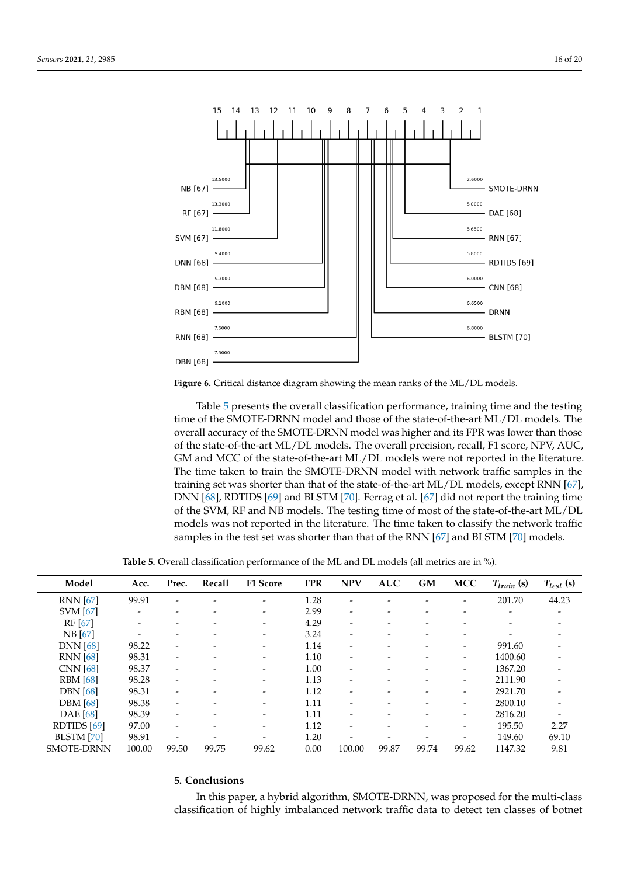<span id="page-15-1"></span>

**Figure 6.** Critical distance diagram showing the mean ranks of the ML/DL models.

Table [5](#page-15-2) presents the overall classification performance, training time and the testing time of the SMOTE-DRNN model and those of the state-of-the-art ML/DL models. The overall accuracy of the SMOTE-DRNN model was higher and its FPR was lower than those of the state-of-the-art ML/DL models. The overall precision, recall, F1 score, NPV, AUC, GM and MCC of the state-of-the-art ML/DL models were not reported in the literature. The time taken to train the SMOTE-DRNN model with network traffic samples in the training set was shorter than that of the state-of-the-art ML/DL models, except RNN [\[67\]](#page-19-8), DNN [\[68\]](#page-19-9), RDTIDS [\[69\]](#page-19-10) and BLSTM [\[70\]](#page-19-11). Ferrag et al. [\[67\]](#page-19-8) did not report the training time of the SVM, RF and NB models. The testing time of most of the state-of-the-art ML/DL models was not reported in the literature. The time taken to classify the network traffic samples in the test set was shorter than that of the RNN [\[67\]](#page-19-8) and BLSTM [\[70\]](#page-19-11) models.

**Table 5.** Overall classification performance of the ML and DL models (all metrics are in %).

<span id="page-15-2"></span>

| Model             | Acc.           | Prec.                    | Recall | <b>F1 Score</b>          | <b>FPR</b> | <b>NPV</b>               | <b>AUC</b>                   | <b>GM</b> | <b>MCC</b>               | $T_{train}$ (s) | $T_{test}$ (s) |
|-------------------|----------------|--------------------------|--------|--------------------------|------------|--------------------------|------------------------------|-----------|--------------------------|-----------------|----------------|
| <b>RNN</b> [67]   | 99.91          |                          |        | -                        | 1.28       |                          |                              |           |                          | 201.70          | 44.23          |
| <b>SVM</b> [67]   | ۰              |                          |        | -                        | 2.99       | -                        |                              |           |                          |                 |                |
| $RF$ [67]         | -              |                          | -      | $\overline{\phantom{0}}$ | 4.29       | -                        | $\overline{\phantom{a}}$     |           |                          |                 |                |
| NB [67]           | $\overline{a}$ |                          |        | -                        | 3.24       | $\overline{a}$           | $\qquad \qquad \blacksquare$ |           |                          |                 |                |
| <b>DNN</b> [68]   | 98.22          |                          |        | -                        | 1.14       | -                        |                              |           |                          | 991.60          |                |
| <b>RNN</b> [68]   | 98.31          | $\overline{\phantom{0}}$ | -      | $\overline{\phantom{0}}$ | 1.10       | $\overline{\phantom{0}}$ | $\overline{a}$               |           | $\overline{\phantom{0}}$ | 1400.60         |                |
| <b>CNN</b> [68]   | 98.37          |                          |        | -                        | 1.00       | -                        |                              |           |                          | 1367.20         |                |
| <b>RBM</b> [68]   | 98.28          | -                        | -      | $\overline{\phantom{0}}$ | 1.13       | -                        | $\overline{\phantom{a}}$     |           | $\overline{\phantom{0}}$ | 2111.90         |                |
| <b>DBN</b> [68]   | 98.31          | $\overline{\phantom{0}}$ |        | -                        | 1.12       | -                        |                              |           |                          | 2921.70         |                |
| <b>DBM</b> [68]   | 98.38          |                          |        | -                        | 1.11       |                          |                              |           |                          | 2800.10         |                |
| <b>DAE</b> [68]   | 98.39          | $\overline{\phantom{0}}$ | -      | $\overline{\phantom{0}}$ | 1.11       | $\overline{a}$           | $\overline{\phantom{0}}$     |           |                          | 2816.20         |                |
| RDTIDS [69]       | 97.00          |                          |        | $\overline{\phantom{0}}$ | 1.12       | -                        |                              |           |                          | 195.50          | 2.27           |
| BLSTM [70]        | 98.91          |                          |        |                          | 1.20       |                          |                              |           |                          | 149.60          | 69.10          |
| <b>SMOTE-DRNN</b> | 100.00         | 99.50                    | 99.75  | 99.62                    | 0.00       | 100.00                   | 99.87                        | 99.74     | 99.62                    | 1147.32         | 9.81           |

## <span id="page-15-0"></span>**5. Conclusions**

In this paper, a hybrid algorithm, SMOTE-DRNN, was proposed for the multi-class classification of highly imbalanced network traffic data to detect ten classes of botnet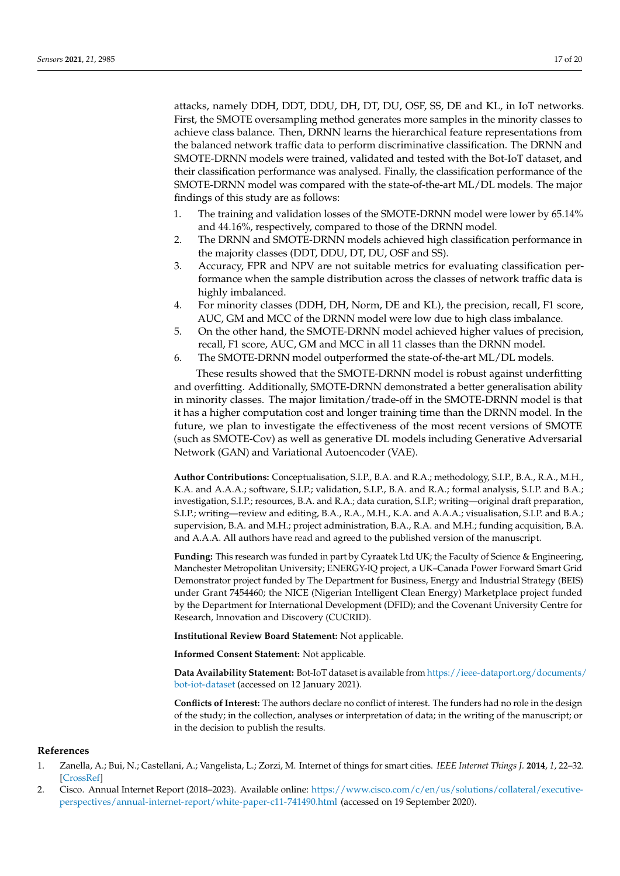attacks, namely DDH, DDT, DDU, DH, DT, DU, OSF, SS, DE and KL, in IoT networks. First, the SMOTE oversampling method generates more samples in the minority classes to achieve class balance. Then, DRNN learns the hierarchical feature representations from the balanced network traffic data to perform discriminative classification. The DRNN and SMOTE-DRNN models were trained, validated and tested with the Bot-IoT dataset, and their classification performance was analysed. Finally, the classification performance of the SMOTE-DRNN model was compared with the state-of-the-art ML/DL models. The major findings of this study are as follows:

- 1. The training and validation losses of the SMOTE-DRNN model were lower by 65.14% and 44.16%, respectively, compared to those of the DRNN model.
- 2. The DRNN and SMOTE-DRNN models achieved high classification performance in the majority classes (DDT, DDU, DT, DU, OSF and SS).
- 3. Accuracy, FPR and NPV are not suitable metrics for evaluating classification performance when the sample distribution across the classes of network traffic data is highly imbalanced.
- 4. For minority classes (DDH, DH, Norm, DE and KL), the precision, recall, F1 score, AUC, GM and MCC of the DRNN model were low due to high class imbalance.
- 5. On the other hand, the SMOTE-DRNN model achieved higher values of precision, recall, F1 score, AUC, GM and MCC in all 11 classes than the DRNN model.
- 6. The SMOTE-DRNN model outperformed the state-of-the-art ML/DL models.

These results showed that the SMOTE-DRNN model is robust against underfitting and overfitting. Additionally, SMOTE-DRNN demonstrated a better generalisation ability in minority classes. The major limitation/trade-off in the SMOTE-DRNN model is that it has a higher computation cost and longer training time than the DRNN model. In the future, we plan to investigate the effectiveness of the most recent versions of SMOTE (such as SMOTE-Cov) as well as generative DL models including Generative Adversarial Network (GAN) and Variational Autoencoder (VAE).

**Author Contributions:** Conceptualisation, S.I.P., B.A. and R.A.; methodology, S.I.P., B.A., R.A., M.H., K.A. and A.A.A.; software, S.I.P.; validation, S.I.P., B.A. and R.A.; formal analysis, S.I.P. and B.A.; investigation, S.I.P.; resources, B.A. and R.A.; data curation, S.I.P.; writing—original draft preparation, S.I.P.; writing—review and editing, B.A., R.A., M.H., K.A. and A.A.A.; visualisation, S.I.P. and B.A.; supervision, B.A. and M.H.; project administration, B.A., R.A. and M.H.; funding acquisition, B.A. and A.A.A. All authors have read and agreed to the published version of the manuscript.

**Funding:** This research was funded in part by Cyraatek Ltd UK; the Faculty of Science & Engineering, Manchester Metropolitan University; ENERGY-IQ project, a UK–Canada Power Forward Smart Grid Demonstrator project funded by The Department for Business, Energy and Industrial Strategy (BEIS) under Grant 7454460; the NICE (Nigerian Intelligent Clean Energy) Marketplace project funded by the Department for International Development (DFID); and the Covenant University Centre for Research, Innovation and Discovery (CUCRID).

**Institutional Review Board Statement:** Not applicable.

**Informed Consent Statement:** Not applicable.

**Data Availability Statement:** Bot-IoT dataset is available from [https://ieee-dataport.org/documents/](https://ieee-dataport.org/documents/bot-iot-dataset) [bot-iot-dataset](https://ieee-dataport.org/documents/bot-iot-dataset) (accessed on 12 January 2021).

**Conflicts of Interest:** The authors declare no conflict of interest. The funders had no role in the design of the study; in the collection, analyses or interpretation of data; in the writing of the manuscript; or in the decision to publish the results.

#### **References**

- <span id="page-16-0"></span>1. Zanella, A.; Bui, N.; Castellani, A.; Vangelista, L.; Zorzi, M. Internet of things for smart cities. *IEEE Internet Things J.* **2014**, *1*, 22–32. [\[CrossRef\]](http://doi.org/10.1109/JIOT.2014.2306328)
- <span id="page-16-1"></span>2. Cisco. Annual Internet Report (2018–2023). Available online: [https://www.cisco.com/c/en/us/solutions/collateral/executive](https://www.cisco.com/c/en/us/solutions/collateral/executive-perspectives/annual-internet-report/white-paper-c11-741490.html)[perspectives/annual-internet-report/white-paper-c11-741490.html](https://www.cisco.com/c/en/us/solutions/collateral/executive-perspectives/annual-internet-report/white-paper-c11-741490.html) (accessed on 19 September 2020).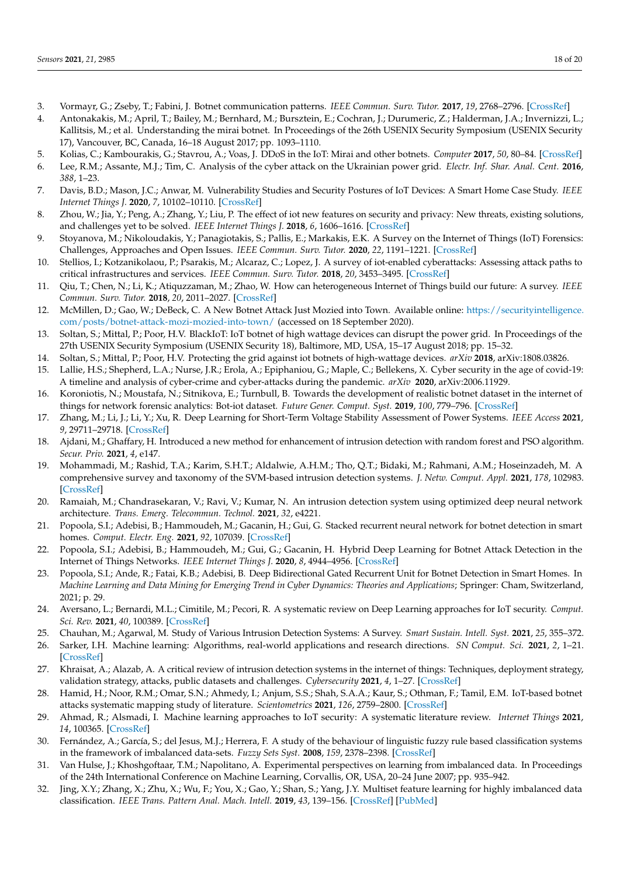- <span id="page-17-0"></span>3. Vormayr, G.; Zseby, T.; Fabini, J. Botnet communication patterns. *IEEE Commun. Surv. Tutor.* **2017**, *19*, 2768–2796. [\[CrossRef\]](http://dx.doi.org/10.1109/COMST.2017.2749442)
- <span id="page-17-1"></span>4. Antonakakis, M.; April, T.; Bailey, M.; Bernhard, M.; Bursztein, E.; Cochran, J.; Durumeric, Z.; Halderman, J.A.; Invernizzi, L.; Kallitsis, M.; et al. Understanding the mirai botnet. In Proceedings of the 26th USENIX Security Symposium (USENIX Security 17), Vancouver, BC, Canada, 16–18 August 2017; pp. 1093–1110.
- <span id="page-17-2"></span>5. Kolias, C.; Kambourakis, G.; Stavrou, A.; Voas, J. DDoS in the IoT: Mirai and other botnets. *Computer* **2017**, *50*, 80–84. [\[CrossRef\]](http://dx.doi.org/10.1109/MC.2017.201)
- <span id="page-17-3"></span>6. Lee, R.M.; Assante, M.J.; Tim, C. Analysis of the cyber attack on the Ukrainian power grid. *Electr. Inf. Shar. Anal. Cent.* **2016**, *388*, 1–23.
- 7. Davis, B.D.; Mason, J.C.; Anwar, M. Vulnerability Studies and Security Postures of IoT Devices: A Smart Home Case Study. *IEEE Internet Things J.* **2020**, *7*, 10102–10110. [\[CrossRef\]](http://dx.doi.org/10.1109/JIOT.2020.2983983)
- 8. Zhou, W.; Jia, Y.; Peng, A.; Zhang, Y.; Liu, P. The effect of iot new features on security and privacy: New threats, existing solutions, and challenges yet to be solved. *IEEE Internet Things J.* **2018**, *6*, 1606–1616. [\[CrossRef\]](http://dx.doi.org/10.1109/JIOT.2018.2847733)
- 9. Stoyanova, M.; Nikoloudakis, Y.; Panagiotakis, S.; Pallis, E.; Markakis, E.K. A Survey on the Internet of Things (IoT) Forensics: Challenges, Approaches and Open Issues. *IEEE Commun. Surv. Tutor.* **2020**, *22*, 1191–1221. [\[CrossRef\]](http://dx.doi.org/10.1109/COMST.2019.2962586)
- 10. Stellios, I.; Kotzanikolaou, P.; Psarakis, M.; Alcaraz, C.; Lopez, J. A survey of iot-enabled cyberattacks: Assessing attack paths to critical infrastructures and services. *IEEE Commun. Surv. Tutor.* **2018**, *20*, 3453–3495. [\[CrossRef\]](http://dx.doi.org/10.1109/COMST.2018.2855563)
- <span id="page-17-4"></span>11. Qiu, T.; Chen, N.; Li, K.; Atiquzzaman, M.; Zhao, W. How can heterogeneous Internet of Things build our future: A survey. *IEEE Commun. Surv. Tutor.* **2018**, *20*, 2011–2027. [\[CrossRef\]](http://dx.doi.org/10.1109/COMST.2018.2803740)
- <span id="page-17-5"></span>12. McMillen, D.; Gao, W.; DeBeck, C. A New Botnet Attack Just Mozied into Town. Available online: [https://securityintelligence.](https://securityintelligence.com/posts/botnet-attack-mozi-mozied-into-town/) [com/posts/botnet-attack-mozi-mozied-into-town/](https://securityintelligence.com/posts/botnet-attack-mozi-mozied-into-town/) (accessed on 18 September 2020).
- <span id="page-17-6"></span>13. Soltan, S.; Mittal, P.; Poor, H.V. BlackIoT: IoT botnet of high wattage devices can disrupt the power grid. In Proceedings of the 27th USENIX Security Symposium (USENIX Security 18), Baltimore, MD, USA, 15–17 August 2018; pp. 15–32.
- <span id="page-17-7"></span>14. Soltan, S.; Mittal, P.; Poor, H.V. Protecting the grid against iot botnets of high-wattage devices. *arXiv* **2018**, arXiv:1808.03826.
- <span id="page-17-8"></span>15. Lallie, H.S.; Shepherd, L.A.; Nurse, J.R.; Erola, A.; Epiphaniou, G.; Maple, C.; Bellekens, X. Cyber security in the age of covid-19: A timeline and analysis of cyber-crime and cyber-attacks during the pandemic. *arXiv* **2020**, arXiv:2006.11929.
- <span id="page-17-9"></span>16. Koroniotis, N.; Moustafa, N.; Sitnikova, E.; Turnbull, B. Towards the development of realistic botnet dataset in the internet of things for network forensic analytics: Bot-iot dataset. *Future Gener. Comput. Syst.* **2019**, *100*, 779–796. [\[CrossRef\]](http://dx.doi.org/10.1016/j.future.2019.05.041)
- <span id="page-17-10"></span>17. Zhang, M.; Li, J.; Li, Y.; Xu, R. Deep Learning for Short-Term Voltage Stability Assessment of Power Systems. *IEEE Access* **2021**, *9*, 29711–29718. [\[CrossRef\]](http://dx.doi.org/10.1109/ACCESS.2021.3057659)
- <span id="page-17-11"></span>18. Ajdani, M.; Ghaffary, H. Introduced a new method for enhancement of intrusion detection with random forest and PSO algorithm. *Secur. Priv.* **2021**, *4*, e147.
- <span id="page-17-12"></span>19. Mohammadi, M.; Rashid, T.A.; Karim, S.H.T.; Aldalwie, A.H.M.; Tho, Q.T.; Bidaki, M.; Rahmani, A.M.; Hoseinzadeh, M. A comprehensive survey and taxonomy of the SVM-based intrusion detection systems. *J. Netw. Comput. Appl.* **2021**, *178*, 102983. [\[CrossRef\]](http://dx.doi.org/10.1016/j.jnca.2021.102983)
- <span id="page-17-13"></span>20. Ramaiah, M.; Chandrasekaran, V.; Ravi, V.; Kumar, N. An intrusion detection system using optimized deep neural network architecture. *Trans. Emerg. Telecommun. Technol.* **2021**, *32*, e4221.
- <span id="page-17-14"></span>21. Popoola, S.I.; Adebisi, B.; Hammoudeh, M.; Gacanin, H.; Gui, G. Stacked recurrent neural network for botnet detection in smart homes. *Comput. Electr. Eng.* **2021**, *92*, 107039. [\[CrossRef\]](http://dx.doi.org/10.1016/j.compeleceng.2021.107039)
- <span id="page-17-15"></span>22. Popoola, S.I.; Adebisi, B.; Hammoudeh, M.; Gui, G.; Gacanin, H. Hybrid Deep Learning for Botnet Attack Detection in the Internet of Things Networks. *IEEE Internet Things J.* **2020**, *8*, 4944–4956. [\[CrossRef\]](http://dx.doi.org/10.1109/JIOT.2020.3034156)
- <span id="page-17-16"></span>23. Popoola, S.I.; Ande, R.; Fatai, K.B.; Adebisi, B. Deep Bidirectional Gated Recurrent Unit for Botnet Detection in Smart Homes. In *Machine Learning and Data Mining for Emerging Trend in Cyber Dynamics: Theories and Applications*; Springer: Cham, Switzerland, 2021; p. 29.
- <span id="page-17-17"></span>24. Aversano, L.; Bernardi, M.L.; Cimitile, M.; Pecori, R. A systematic review on Deep Learning approaches for IoT security. *Comput. Sci. Rev.* **2021**, *40*, 100389. [\[CrossRef\]](http://dx.doi.org/10.1016/j.cosrev.2021.100389)
- 25. Chauhan, M.; Agarwal, M. Study of Various Intrusion Detection Systems: A Survey. *Smart Sustain. Intell. Syst.* **2021**, *25*, 355–372.
- 26. Sarker, I.H. Machine learning: Algorithms, real-world applications and research directions. *SN Comput. Sci.* **2021**, *2*, 1–21. [\[CrossRef\]](http://dx.doi.org/10.1007/s42979-021-00592-x)
- 27. Khraisat, A.; Alazab, A. A critical review of intrusion detection systems in the internet of things: Techniques, deployment strategy, validation strategy, attacks, public datasets and challenges. *Cybersecurity* **2021**, *4*, 1–27. [\[CrossRef\]](http://dx.doi.org/10.1186/s42400-021-00077-7)
- 28. Hamid, H.; Noor, R.M.; Omar, S.N.; Ahmedy, I.; Anjum, S.S.; Shah, S.A.A.; Kaur, S.; Othman, F.; Tamil, E.M. IoT-based botnet attacks systematic mapping study of literature. *Scientometrics* **2021**, *126*, 2759–2800. [\[CrossRef\]](http://dx.doi.org/10.1007/s11192-020-03819-5)
- <span id="page-17-18"></span>29. Ahmad, R.; Alsmadi, I. Machine learning approaches to IoT security: A systematic literature review. *Internet Things* **2021**, *14*, 100365. [\[CrossRef\]](http://dx.doi.org/10.1016/j.iot.2021.100365)
- <span id="page-17-19"></span>30. Fernández, A.; García, S.; del Jesus, M.J.; Herrera, F. A study of the behaviour of linguistic fuzzy rule based classification systems in the framework of imbalanced data-sets. *Fuzzy Sets Syst.* **2008**, *159*, 2378–2398. [\[CrossRef\]](http://dx.doi.org/10.1016/j.fss.2007.12.023)
- <span id="page-17-20"></span>31. Van Hulse, J.; Khoshgoftaar, T.M.; Napolitano, A. Experimental perspectives on learning from imbalanced data. In Proceedings of the 24th International Conference on Machine Learning, Corvallis, OR, USA, 20–24 June 2007; pp. 935–942.
- <span id="page-17-21"></span>32. Jing, X.Y.; Zhang, X.; Zhu, X.; Wu, F.; You, X.; Gao, Y.; Shan, S.; Yang, J.Y. Multiset feature learning for highly imbalanced data classification. *IEEE Trans. Pattern Anal. Mach. Intell.* **2019**, *43*, 139–156. [\[CrossRef\]](http://dx.doi.org/10.1109/TPAMI.2019.2929166) [\[PubMed\]](http://www.ncbi.nlm.nih.gov/pubmed/31331881)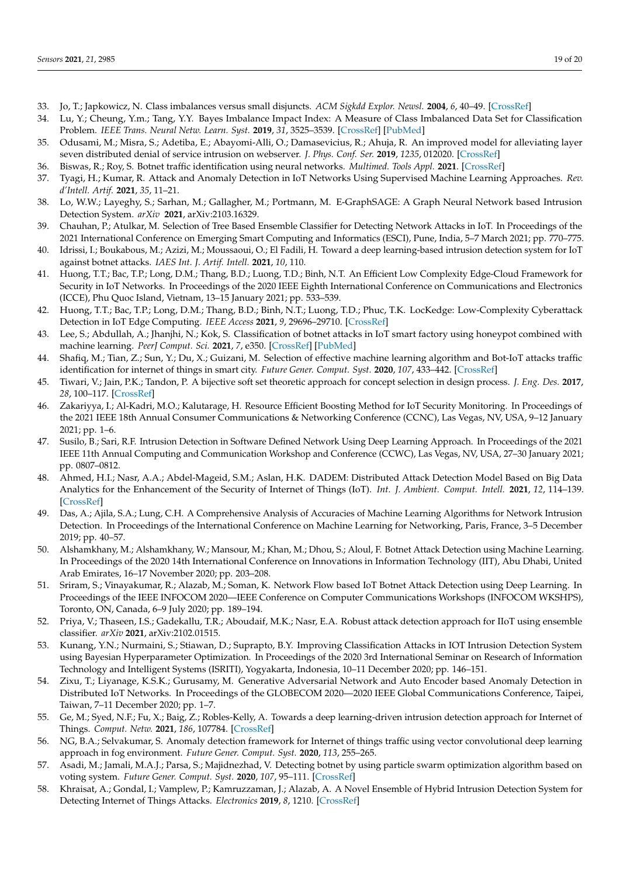- <span id="page-18-0"></span>33. Jo, T.; Japkowicz, N. Class imbalances versus small disjuncts. *ACM Sigkdd Explor. Newsl.* **2004**, *6*, 40–49. [\[CrossRef\]](http://dx.doi.org/10.1145/1007730.1007737)
- <span id="page-18-1"></span>34. Lu, Y.; Cheung, Y.m.; Tang, Y.Y. Bayes Imbalance Impact Index: A Measure of Class Imbalanced Data Set for Classification Problem. *IEEE Trans. Neural Netw. Learn. Syst.* **2019**, *31*, 3525–3539. [\[CrossRef\]](http://dx.doi.org/10.1109/TNNLS.2019.2944962) [\[PubMed\]](http://www.ncbi.nlm.nih.gov/pubmed/31689217)
- <span id="page-18-2"></span>35. Odusami, M.; Misra, S.; Adetiba, E.; Abayomi-Alli, O.; Damasevicius, R.; Ahuja, R. An improved model for alleviating layer seven distributed denial of service intrusion on webserver. *J. Phys. Conf. Ser.* **2019**, *1235*, 012020. [\[CrossRef\]](http://dx.doi.org/10.1088/1742-6596/1235/1/012020)
- <span id="page-18-3"></span>36. Biswas, R.; Roy, S. Botnet traffic identification using neural networks. *Multimed. Tools Appl.* **2021**. [\[CrossRef\]](http://dx.doi.org/10.1007/s11042-021-10765-8)
- <span id="page-18-4"></span>37. Tyagi, H.; Kumar, R. Attack and Anomaly Detection in IoT Networks Using Supervised Machine Learning Approaches. *Rev. d'Intell. Artif.* **2021**, *35*, 11–21.
- <span id="page-18-5"></span>38. Lo, W.W.; Layeghy, S.; Sarhan, M.; Gallagher, M.; Portmann, M. E-GraphSAGE: A Graph Neural Network based Intrusion Detection System. *arXiv* **2021**, arXiv:2103.16329.
- <span id="page-18-6"></span>39. Chauhan, P.; Atulkar, M. Selection of Tree Based Ensemble Classifier for Detecting Network Attacks in IoT. In Proceedings of the 2021 International Conference on Emerging Smart Computing and Informatics (ESCI), Pune, India, 5–7 March 2021; pp. 770–775.
- <span id="page-18-7"></span>40. Idrissi, I.; Boukabous, M.; Azizi, M.; Moussaoui, O.; El Fadili, H. Toward a deep learning-based intrusion detection system for IoT against botnet attacks. *IAES Int. J. Artif. Intell.* **2021**, *10*, 110.
- <span id="page-18-8"></span>41. Huong, T.T.; Bac, T.P.; Long, D.M.; Thang, B.D.; Luong, T.D.; Binh, N.T. An Efficient Low Complexity Edge-Cloud Framework for Security in IoT Networks. In Proceedings of the 2020 IEEE Eighth International Conference on Communications and Electronics (ICCE), Phu Quoc Island, Vietnam, 13–15 January 2021; pp. 533–539.
- <span id="page-18-9"></span>42. Huong, T.T.; Bac, T.P.; Long, D.M.; Thang, B.D.; Binh, N.T.; Luong, T.D.; Phuc, T.K. LocKedge: Low-Complexity Cyberattack Detection in IoT Edge Computing. *IEEE Access* **2021**, *9*, 29696–29710. [\[CrossRef\]](http://dx.doi.org/10.1109/ACCESS.2021.3058528)
- <span id="page-18-10"></span>43. Lee, S.; Abdullah, A.; Jhanjhi, N.; Kok, S. Classification of botnet attacks in IoT smart factory using honeypot combined with machine learning. *PeerJ Comput. Sci.* **2021**, *7*, e350. [\[CrossRef\]](http://dx.doi.org/10.7717/peerj-cs.350) [\[PubMed\]](http://www.ncbi.nlm.nih.gov/pubmed/33817000)
- <span id="page-18-11"></span>44. Shafiq, M.; Tian, Z.; Sun, Y.; Du, X.; Guizani, M. Selection of effective machine learning algorithm and Bot-IoT attacks traffic identification for internet of things in smart city. *Future Gener. Comput. Syst.* **2020**, *107*, 433–442. [\[CrossRef\]](http://dx.doi.org/10.1016/j.future.2020.02.017)
- <span id="page-18-12"></span>45. Tiwari, V.; Jain, P.K.; Tandon, P. A bijective soft set theoretic approach for concept selection in design process. *J. Eng. Des.* **2017**, *28*, 100–117. [\[CrossRef\]](http://dx.doi.org/10.1080/09544828.2016.1274718)
- <span id="page-18-13"></span>46. Zakariyya, I.; Al-Kadri, M.O.; Kalutarage, H. Resource Efficient Boosting Method for IoT Security Monitoring. In Proceedings of the 2021 IEEE 18th Annual Consumer Communications & Networking Conference (CCNC), Las Vegas, NV, USA, 9–12 January 2021; pp. 1–6.
- <span id="page-18-14"></span>47. Susilo, B.; Sari, R.F. Intrusion Detection in Software Defined Network Using Deep Learning Approach. In Proceedings of the 2021 IEEE 11th Annual Computing and Communication Workshop and Conference (CCWC), Las Vegas, NV, USA, 27–30 January 2021; pp. 0807–0812.
- <span id="page-18-15"></span>48. Ahmed, H.I.; Nasr, A.A.; Abdel-Mageid, S.M.; Aslan, H.K. DADEM: Distributed Attack Detection Model Based on Big Data Analytics for the Enhancement of the Security of Internet of Things (IoT). *Int. J. Ambient. Comput. Intell.* **2021**, *12*, 114–139. [\[CrossRef\]](http://dx.doi.org/10.4018/IJACI.2021010105)
- <span id="page-18-16"></span>49. Das, A.; Ajila, S.A.; Lung, C.H. A Comprehensive Analysis of Accuracies of Machine Learning Algorithms for Network Intrusion Detection. In Proceedings of the International Conference on Machine Learning for Networking, Paris, France, 3–5 December 2019; pp. 40–57.
- <span id="page-18-17"></span>50. Alshamkhany, M.; Alshamkhany, W.; Mansour, M.; Khan, M.; Dhou, S.; Aloul, F. Botnet Attack Detection using Machine Learning. In Proceedings of the 2020 14th International Conference on Innovations in Information Technology (IIT), Abu Dhabi, United Arab Emirates, 16–17 November 2020; pp. 203–208.
- <span id="page-18-18"></span>51. Sriram, S.; Vinayakumar, R.; Alazab, M.; Soman, K. Network Flow based IoT Botnet Attack Detection using Deep Learning. In Proceedings of the IEEE INFOCOM 2020—IEEE Conference on Computer Communications Workshops (INFOCOM WKSHPS), Toronto, ON, Canada, 6–9 July 2020; pp. 189–194.
- <span id="page-18-19"></span>52. Priya, V.; Thaseen, I.S.; Gadekallu, T.R.; Aboudaif, M.K.; Nasr, E.A. Robust attack detection approach for IIoT using ensemble classifier. *arXiv* **2021**, arXiv:2102.01515.
- <span id="page-18-20"></span>53. Kunang, Y.N.; Nurmaini, S.; Stiawan, D.; Suprapto, B.Y. Improving Classification Attacks in IOT Intrusion Detection System using Bayesian Hyperparameter Optimization. In Proceedings of the 2020 3rd International Seminar on Research of Information Technology and Intelligent Systems (ISRITI), Yogyakarta, Indonesia, 10–11 December 2020; pp. 146–151.
- <span id="page-18-21"></span>54. Zixu, T.; Liyanage, K.S.K.; Gurusamy, M. Generative Adversarial Network and Auto Encoder based Anomaly Detection in Distributed IoT Networks. In Proceedings of the GLOBECOM 2020—2020 IEEE Global Communications Conference, Taipei, Taiwan, 7–11 December 2020; pp. 1–7.
- <span id="page-18-22"></span>55. Ge, M.; Syed, N.F.; Fu, X.; Baig, Z.; Robles-Kelly, A. Towards a deep learning-driven intrusion detection approach for Internet of Things. *Comput. Netw.* **2021**, *186*, 107784. [\[CrossRef\]](http://dx.doi.org/10.1016/j.comnet.2020.107784)
- <span id="page-18-23"></span>56. NG, B.A.; Selvakumar, S. Anomaly detection framework for Internet of things traffic using vector convolutional deep learning approach in fog environment. *Future Gener. Comput. Syst.* **2020**, *113*, 255–265.
- <span id="page-18-24"></span>57. Asadi, M.; Jamali, M.A.J.; Parsa, S.; Majidnezhad, V. Detecting botnet by using particle swarm optimization algorithm based on voting system. *Future Gener. Comput. Syst.* **2020**, *107*, 95–111. [\[CrossRef\]](http://dx.doi.org/10.1016/j.future.2020.01.055)
- <span id="page-18-25"></span>58. Khraisat, A.; Gondal, I.; Vamplew, P.; Kamruzzaman, J.; Alazab, A. A Novel Ensemble of Hybrid Intrusion Detection System for Detecting Internet of Things Attacks. *Electronics* **2019**, *8*, 1210. [\[CrossRef\]](http://dx.doi.org/10.3390/electronics8111210)